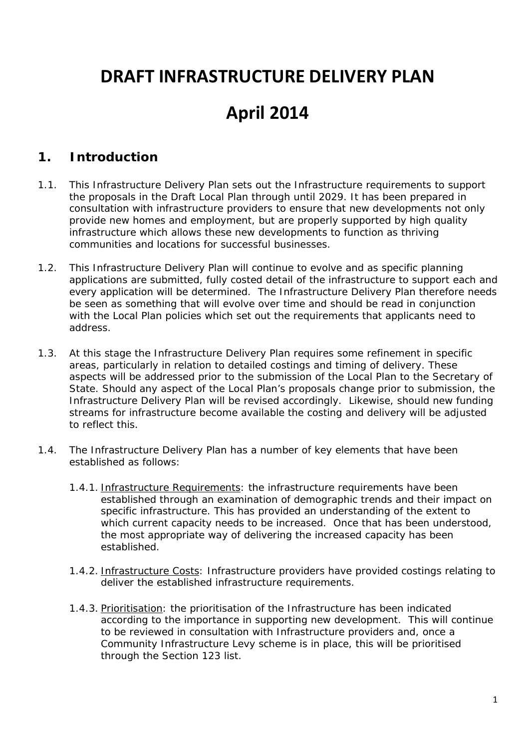## **DRAFT INFRASTRUCTURE DELIVERY PLAN**

# **April 2014**

## **1. Introduction**

- 1.1. This Infrastructure Delivery Plan sets out the Infrastructure requirements to support the proposals in the Draft Local Plan through until 2029. It has been prepared in consultation with infrastructure providers to ensure that new developments not only provide new homes and employment, but are properly supported by high quality infrastructure which allows these new developments to function as thriving communities and locations for successful businesses.
- 1.2. This Infrastructure Delivery Plan will continue to evolve and as specific planning applications are submitted, fully costed detail of the infrastructure to support each and every application will be determined. The Infrastructure Delivery Plan therefore needs be seen as something that will evolve over time and should be read in conjunction with the Local Plan policies which set out the requirements that applicants need to address.
- 1.3. At this stage the Infrastructure Delivery Plan requires some refinement in specific areas, particularly in relation to detailed costings and timing of delivery. These aspects will be addressed prior to the submission of the Local Plan to the Secretary of State. Should any aspect of the Local Plan's proposals change prior to submission, the Infrastructure Delivery Plan will be revised accordingly. Likewise, should new funding streams for infrastructure become available the costing and delivery will be adjusted to reflect this.
- 1.4. The Infrastructure Delivery Plan has a number of key elements that have been established as follows:
	- 1.4.1. Infrastructure Requirements: the infrastructure requirements have been established through an examination of demographic trends and their impact on specific infrastructure. This has provided an understanding of the extent to which current capacity needs to be increased. Once that has been understood, the most appropriate way of delivering the increased capacity has been established.
	- 1.4.2. Infrastructure Costs: Infrastructure providers have provided costings relating to deliver the established infrastructure requirements.
	- 1.4.3. Prioritisation: the prioritisation of the Infrastructure has been indicated according to the importance in supporting new development. This will continue to be reviewed in consultation with Infrastructure providers and, once a Community Infrastructure Levy scheme is in place, this will be prioritised through the Section 123 list.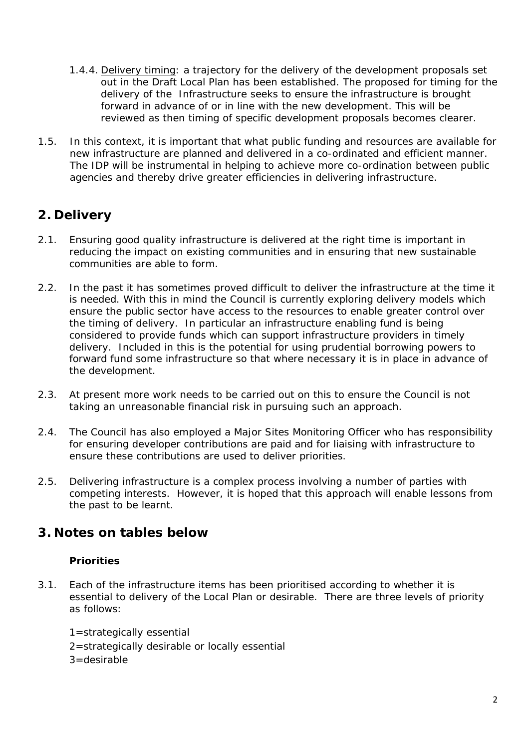- 1.4.4. Delivery timing: a trajectory for the delivery of the development proposals set out in the Draft Local Plan has been established. The proposed for timing for the delivery of the Infrastructure seeks to ensure the infrastructure is brought forward in advance of or in line with the new development. This will be reviewed as then timing of specific development proposals becomes clearer.
- 1.5. In this context, it is important that what public funding and resources are available for new infrastructure are planned and delivered in a co-ordinated and efficient manner. The IDP will be instrumental in helping to achieve more co-ordination between public agencies and thereby drive greater efficiencies in delivering infrastructure.

## **2. Delivery**

- 2.1. Ensuring good quality infrastructure is delivered at the right time is important in reducing the impact on existing communities and in ensuring that new sustainable communities are able to form.
- 2.2. In the past it has sometimes proved difficult to deliver the infrastructure at the time it is needed. With this in mind the Council is currently exploring delivery models which ensure the public sector have access to the resources to enable greater control over the timing of delivery. In particular an infrastructure enabling fund is being considered to provide funds which can support infrastructure providers in timely delivery. Included in this is the potential for using prudential borrowing powers to forward fund some infrastructure so that where necessary it is in place in advance of the development.
- 2.3. At present more work needs to be carried out on this to ensure the Council is not taking an unreasonable financial risk in pursuing such an approach.
- 2.4. The Council has also employed a Major Sites Monitoring Officer who has responsibility for ensuring developer contributions are paid and for liaising with infrastructure to ensure these contributions are used to deliver priorities.
- 2.5. Delivering infrastructure is a complex process involving a number of parties with competing interests. However, it is hoped that this approach will enable lessons from the past to be learnt.

### **3. Notes on tables below**

#### **Priorities**

3.1. Each of the infrastructure items has been prioritised according to whether it is essential to delivery of the Local Plan or desirable. There are three levels of priority as follows:

1=strategically essential 2=strategically desirable or locally essential  $3 =$ desirable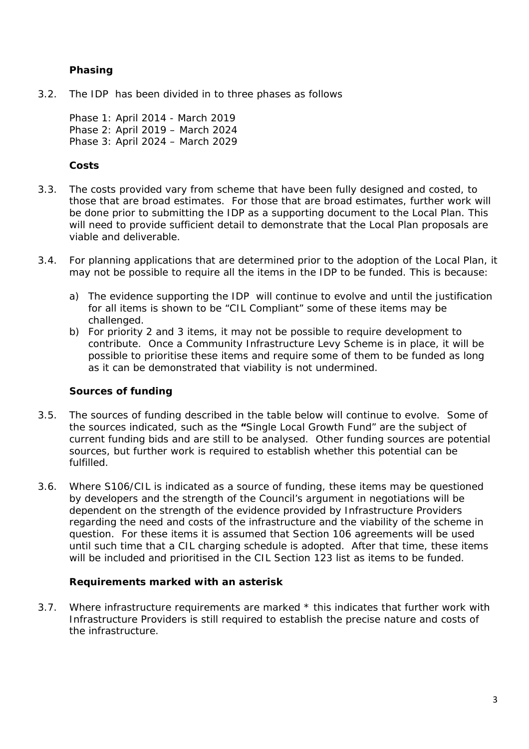#### **Phasing**

3.2. The IDP has been divided in to three phases as follows

Phase 1: April 2014 - March 2019 Phase 2: April 2019 – March 2024 Phase 3: April 2024 – March 2029

#### **Costs**

- 3.3. The costs provided vary from scheme that have been fully designed and costed, to those that are broad estimates. For those that are broad estimates, further work will be done prior to submitting the IDP as a supporting document to the Local Plan. This will need to provide sufficient detail to demonstrate that the Local Plan proposals are viable and deliverable.
- 3.4. For planning applications that are determined prior to the adoption of the Local Plan, it may not be possible to require all the items in the IDP to be funded. This is because:
	- a) The evidence supporting the IDP will continue to evolve and until the justification for all items is shown to be "CIL Compliant" some of these items may be challenged.
	- b) For priority 2 and 3 items, it may not be possible to require development to contribute. Once a Community Infrastructure Levy Scheme is in place, it will be possible to prioritise these items and require some of them to be funded as long as it can be demonstrated that viability is not undermined.

#### **Sources of funding**

- 3.5. The sources of funding described in the table below will continue to evolve. Some of the sources indicated, such as the **"**Single Local Growth Fund" are the subject of current funding bids and are still to be analysed. Other funding sources are potential sources, but further work is required to establish whether this potential can be fulfilled.
- 3.6. Where S106/CIL is indicated as a source of funding, these items may be questioned by developers and the strength of the Council's argument in negotiations will be dependent on the strength of the evidence provided by Infrastructure Providers regarding the need and costs of the infrastructure and the viability of the scheme in question. For these items it is assumed that Section 106 agreements will be used until such time that a CIL charging schedule is adopted. After that time, these items will be included and prioritised in the CIL Section 123 list as items to be funded.

#### **Requirements marked with an asterisk**

3.7. Where infrastructure requirements are marked \* this indicates that further work with Infrastructure Providers is still required to establish the precise nature and costs of the infrastructure.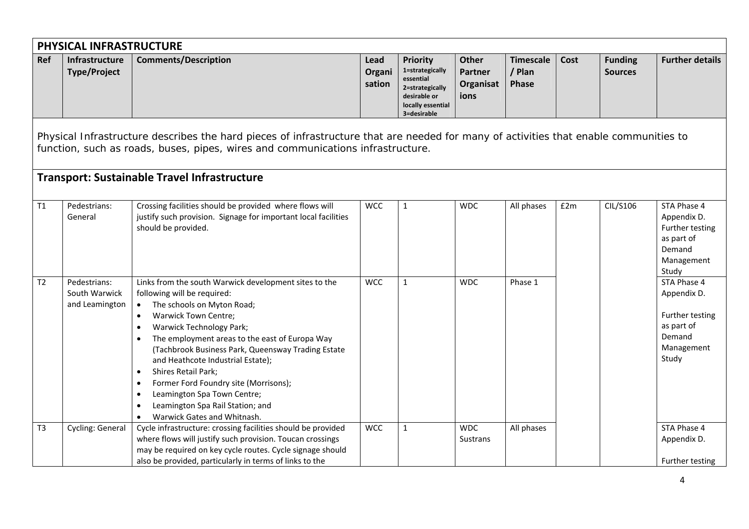|                | PHYSICAL INFRASTRUCTURE                                                                                                                                                                                                  |                                                                                                                                                                                                                                                                                                                                                                                                                                                                                                                                                                                               |                          |                                                                                                                        |                                              |                                            |      |                                  |                                                                                              |  |  |  |  |
|----------------|--------------------------------------------------------------------------------------------------------------------------------------------------------------------------------------------------------------------------|-----------------------------------------------------------------------------------------------------------------------------------------------------------------------------------------------------------------------------------------------------------------------------------------------------------------------------------------------------------------------------------------------------------------------------------------------------------------------------------------------------------------------------------------------------------------------------------------------|--------------------------|------------------------------------------------------------------------------------------------------------------------|----------------------------------------------|--------------------------------------------|------|----------------------------------|----------------------------------------------------------------------------------------------|--|--|--|--|
| <b>Ref</b>     | Infrastructure<br><b>Type/Project</b>                                                                                                                                                                                    | <b>Comments/Description</b>                                                                                                                                                                                                                                                                                                                                                                                                                                                                                                                                                                   | Lead<br>Organi<br>sation | <b>Priority</b><br>1=strategically<br>essential<br>2=strategically<br>desirable or<br>locally essential<br>3=desirable | Other<br><b>Partner</b><br>Organisat<br>ions | <b>Timescale</b><br>/ Plan<br><b>Phase</b> | Cost | <b>Funding</b><br><b>Sources</b> | <b>Further details</b>                                                                       |  |  |  |  |
|                | Physical Infrastructure describes the hard pieces of infrastructure that are needed for many of activities that enable communities to<br>function, such as roads, buses, pipes, wires and communications infrastructure. |                                                                                                                                                                                                                                                                                                                                                                                                                                                                                                                                                                                               |                          |                                                                                                                        |                                              |                                            |      |                                  |                                                                                              |  |  |  |  |
|                |                                                                                                                                                                                                                          | <b>Transport: Sustainable Travel Infrastructure</b>                                                                                                                                                                                                                                                                                                                                                                                                                                                                                                                                           |                          |                                                                                                                        |                                              |                                            |      |                                  |                                                                                              |  |  |  |  |
| T1             | Pedestrians:<br>General                                                                                                                                                                                                  | Crossing facilities should be provided where flows will<br>justify such provision. Signage for important local facilities<br>should be provided.                                                                                                                                                                                                                                                                                                                                                                                                                                              | <b>WCC</b>               | $\mathbf{1}$                                                                                                           | <b>WDC</b>                                   | All phases                                 | £2m  | CIL/S106                         | STA Phase 4<br>Appendix D.<br>Further testing<br>as part of<br>Demand<br>Management<br>Study |  |  |  |  |
| T <sub>2</sub> | Pedestrians:<br>South Warwick<br>and Leamington                                                                                                                                                                          | Links from the south Warwick development sites to the<br>following will be required:<br>The schools on Myton Road;<br>Warwick Town Centre;<br>$\bullet$<br>Warwick Technology Park;<br>$\bullet$<br>The employment areas to the east of Europa Way<br>$\bullet$<br>(Tachbrook Business Park, Queensway Trading Estate<br>and Heathcote Industrial Estate);<br>Shires Retail Park;<br>$\bullet$<br>Former Ford Foundry site (Morrisons);<br>$\bullet$<br>Leamington Spa Town Centre;<br>$\bullet$<br>Leamington Spa Rail Station; and<br>$\bullet$<br>Warwick Gates and Whitnash.<br>$\bullet$ | <b>WCC</b>               | $\mathbf 1$                                                                                                            | <b>WDC</b>                                   | Phase 1                                    |      |                                  | STA Phase 4<br>Appendix D.<br>Further testing<br>as part of<br>Demand<br>Management<br>Study |  |  |  |  |
| T <sub>3</sub> | Cycling: General                                                                                                                                                                                                         | Cycle infrastructure: crossing facilities should be provided<br>where flows will justify such provision. Toucan crossings<br>may be required on key cycle routes. Cycle signage should<br>also be provided, particularly in terms of links to the                                                                                                                                                                                                                                                                                                                                             | <b>WCC</b>               | $\mathbf{1}$                                                                                                           | <b>WDC</b><br><b>Sustrans</b>                | All phases                                 |      |                                  | STA Phase 4<br>Appendix D.<br>Further testing                                                |  |  |  |  |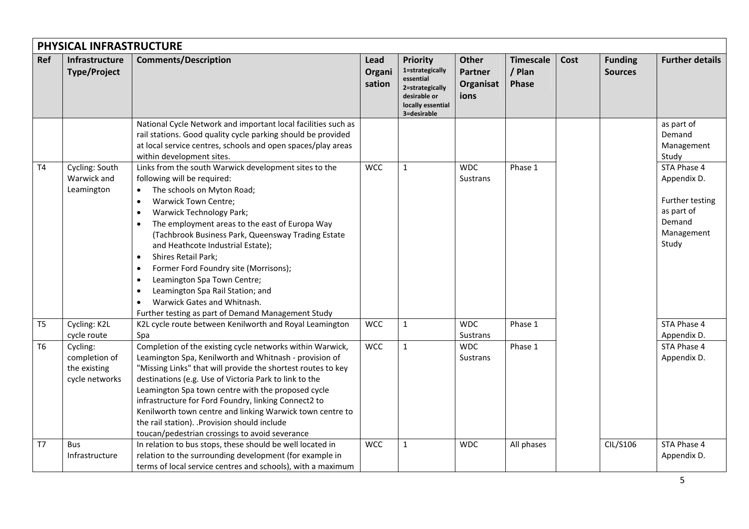|                | PHYSICAL INFRASTRUCTURE                                     |                                                                                                                                                                                                                                                                                                                                                                                                                                                                                                                                                                                                                                                            |                          |                                                                                                                        |                                                     |                                     |      |                                  |                                                                                              |  |  |
|----------------|-------------------------------------------------------------|------------------------------------------------------------------------------------------------------------------------------------------------------------------------------------------------------------------------------------------------------------------------------------------------------------------------------------------------------------------------------------------------------------------------------------------------------------------------------------------------------------------------------------------------------------------------------------------------------------------------------------------------------------|--------------------------|------------------------------------------------------------------------------------------------------------------------|-----------------------------------------------------|-------------------------------------|------|----------------------------------|----------------------------------------------------------------------------------------------|--|--|
| Ref            | Infrastructure<br><b>Type/Project</b>                       | <b>Comments/Description</b>                                                                                                                                                                                                                                                                                                                                                                                                                                                                                                                                                                                                                                | Lead<br>Organi<br>sation | <b>Priority</b><br>1=strategically<br>essential<br>2=strategically<br>desirable or<br>locally essential<br>3=desirable | <b>Other</b><br><b>Partner</b><br>Organisat<br>ions | <b>Timescale</b><br>/ Plan<br>Phase | Cost | <b>Funding</b><br><b>Sources</b> | <b>Further details</b>                                                                       |  |  |
|                |                                                             | National Cycle Network and important local facilities such as<br>rail stations. Good quality cycle parking should be provided<br>at local service centres, schools and open spaces/play areas<br>within development sites.                                                                                                                                                                                                                                                                                                                                                                                                                                 |                          |                                                                                                                        |                                                     |                                     |      |                                  | as part of<br>Demand<br>Management<br>Study                                                  |  |  |
| <b>T4</b>      | Cycling: South<br>Warwick and<br>Leamington                 | Links from the south Warwick development sites to the<br>following will be required:<br>The schools on Myton Road;<br><b>Warwick Town Centre;</b><br>$\bullet$<br>Warwick Technology Park;<br>$\bullet$<br>The employment areas to the east of Europa Way<br>$\bullet$<br>(Tachbrook Business Park, Queensway Trading Estate<br>and Heathcote Industrial Estate);<br>Shires Retail Park;<br>$\bullet$<br>Former Ford Foundry site (Morrisons);<br>$\bullet$<br>Leamington Spa Town Centre;<br>$\bullet$<br>Leamington Spa Rail Station; and<br>$\bullet$<br>Warwick Gates and Whitnash.<br>$\bullet$<br>Further testing as part of Demand Management Study | <b>WCC</b>               | $\mathbf{1}$                                                                                                           | <b>WDC</b><br><b>Sustrans</b>                       | Phase 1                             |      |                                  | STA Phase 4<br>Appendix D.<br>Further testing<br>as part of<br>Demand<br>Management<br>Study |  |  |
| T <sub>5</sub> | Cycling: K2L<br>cycle route                                 | K2L cycle route between Kenilworth and Royal Leamington<br>Spa                                                                                                                                                                                                                                                                                                                                                                                                                                                                                                                                                                                             | <b>WCC</b>               | $\mathbf{1}$                                                                                                           | <b>WDC</b><br><b>Sustrans</b>                       | Phase 1                             |      |                                  | STA Phase 4<br>Appendix D.                                                                   |  |  |
| T <sub>6</sub> | Cycling:<br>completion of<br>the existing<br>cycle networks | Completion of the existing cycle networks within Warwick,<br>Leamington Spa, Kenilworth and Whitnash - provision of<br>"Missing Links" that will provide the shortest routes to key<br>destinations (e.g. Use of Victoria Park to link to the<br>Leamington Spa town centre with the proposed cycle<br>infrastructure for Ford Foundry, linking Connect2 to<br>Kenilworth town centre and linking Warwick town centre to<br>the rail station). .Provision should include<br>toucan/pedestrian crossings to avoid severance                                                                                                                                 | <b>WCC</b>               | $\mathbf{1}$                                                                                                           | <b>WDC</b><br><b>Sustrans</b>                       | Phase 1                             |      |                                  | STA Phase 4<br>Appendix D.                                                                   |  |  |
| T7             | <b>Bus</b><br>Infrastructure                                | In relation to bus stops, these should be well located in<br>relation to the surrounding development (for example in<br>terms of local service centres and schools), with a maximum                                                                                                                                                                                                                                                                                                                                                                                                                                                                        | <b>WCC</b>               | $\mathbf{1}$                                                                                                           | <b>WDC</b>                                          | All phases                          |      | CIL/S106                         | STA Phase 4<br>Appendix D.                                                                   |  |  |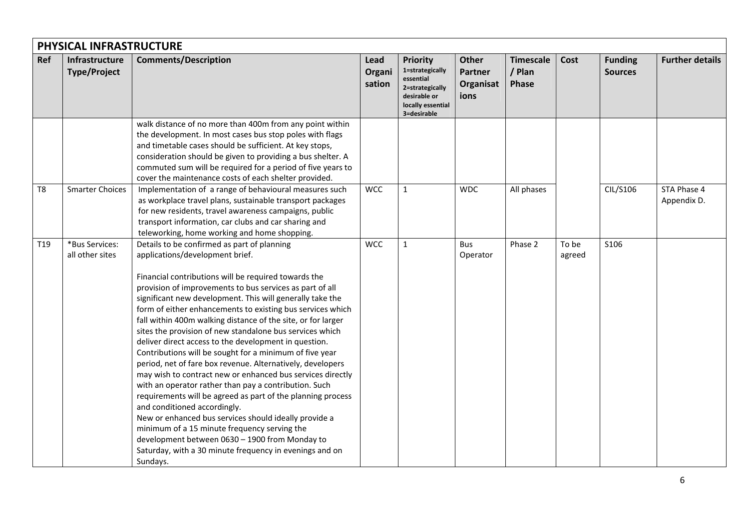|                | PHYSICAL INFRASTRUCTURE               |                                                                                                                                                                                                                                                                                                                                                                                                                                                                                                                                                                                                                                                                                                                                                                                                                                                                                                                                                                                                                                                                                                     |                          |                                                                                                                        |                                                     |                                            |                 |                                  |                            |
|----------------|---------------------------------------|-----------------------------------------------------------------------------------------------------------------------------------------------------------------------------------------------------------------------------------------------------------------------------------------------------------------------------------------------------------------------------------------------------------------------------------------------------------------------------------------------------------------------------------------------------------------------------------------------------------------------------------------------------------------------------------------------------------------------------------------------------------------------------------------------------------------------------------------------------------------------------------------------------------------------------------------------------------------------------------------------------------------------------------------------------------------------------------------------------|--------------------------|------------------------------------------------------------------------------------------------------------------------|-----------------------------------------------------|--------------------------------------------|-----------------|----------------------------------|----------------------------|
| <b>Ref</b>     | Infrastructure<br><b>Type/Project</b> | <b>Comments/Description</b>                                                                                                                                                                                                                                                                                                                                                                                                                                                                                                                                                                                                                                                                                                                                                                                                                                                                                                                                                                                                                                                                         | Lead<br>Organi<br>sation | <b>Priority</b><br>1=strategically<br>essential<br>2=strategically<br>desirable or<br>locally essential<br>3=desirable | <b>Other</b><br><b>Partner</b><br>Organisat<br>ions | <b>Timescale</b><br>/ Plan<br><b>Phase</b> | Cost            | <b>Funding</b><br><b>Sources</b> | <b>Further details</b>     |
|                |                                       | walk distance of no more than 400m from any point within<br>the development. In most cases bus stop poles with flags<br>and timetable cases should be sufficient. At key stops,<br>consideration should be given to providing a bus shelter. A<br>commuted sum will be required for a period of five years to<br>cover the maintenance costs of each shelter provided.                                                                                                                                                                                                                                                                                                                                                                                                                                                                                                                                                                                                                                                                                                                              |                          |                                                                                                                        |                                                     |                                            |                 |                                  |                            |
| T <sub>8</sub> | <b>Smarter Choices</b>                | Implementation of a range of behavioural measures such<br>as workplace travel plans, sustainable transport packages<br>for new residents, travel awareness campaigns, public<br>transport information, car clubs and car sharing and<br>teleworking, home working and home shopping.                                                                                                                                                                                                                                                                                                                                                                                                                                                                                                                                                                                                                                                                                                                                                                                                                | <b>WCC</b>               | $\mathbf{1}$                                                                                                           | <b>WDC</b>                                          | All phases                                 |                 | CIL/S106                         | STA Phase 4<br>Appendix D. |
| T19            | *Bus Services:<br>all other sites     | Details to be confirmed as part of planning<br>applications/development brief.<br>Financial contributions will be required towards the<br>provision of improvements to bus services as part of all<br>significant new development. This will generally take the<br>form of either enhancements to existing bus services which<br>fall within 400m walking distance of the site, or for larger<br>sites the provision of new standalone bus services which<br>deliver direct access to the development in question.<br>Contributions will be sought for a minimum of five year<br>period, net of fare box revenue. Alternatively, developers<br>may wish to contract new or enhanced bus services directly<br>with an operator rather than pay a contribution. Such<br>requirements will be agreed as part of the planning process<br>and conditioned accordingly.<br>New or enhanced bus services should ideally provide a<br>minimum of a 15 minute frequency serving the<br>development between 0630 - 1900 from Monday to<br>Saturday, with a 30 minute frequency in evenings and on<br>Sundays. | <b>WCC</b>               | $\mathbf{1}$                                                                                                           | Bus<br>Operator                                     | Phase 2                                    | To be<br>agreed | S106                             |                            |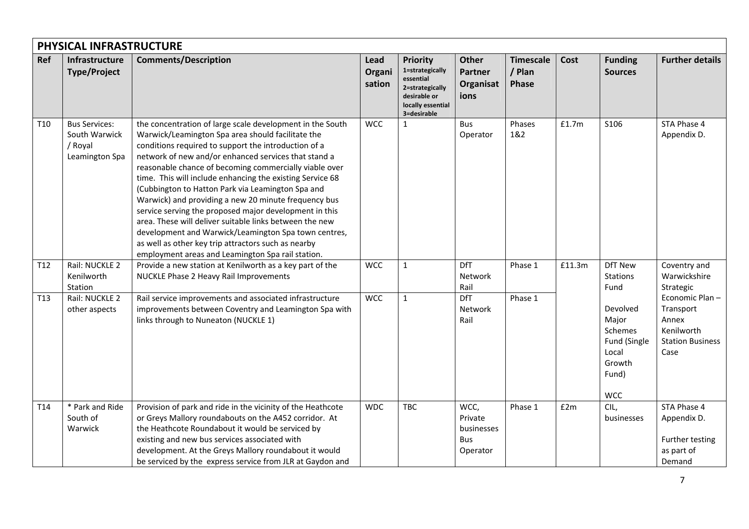|                 | PHYSICAL INFRASTRUCTURE                                            |                                                                                                                                                                                                                                                                                                                                                                                                                                                                                                                                                                                                                                                                                                                                                             |                          |                                                                                                                        |                                                         |                                            |        |                                                                                        |                                                                                       |
|-----------------|--------------------------------------------------------------------|-------------------------------------------------------------------------------------------------------------------------------------------------------------------------------------------------------------------------------------------------------------------------------------------------------------------------------------------------------------------------------------------------------------------------------------------------------------------------------------------------------------------------------------------------------------------------------------------------------------------------------------------------------------------------------------------------------------------------------------------------------------|--------------------------|------------------------------------------------------------------------------------------------------------------------|---------------------------------------------------------|--------------------------------------------|--------|----------------------------------------------------------------------------------------|---------------------------------------------------------------------------------------|
| <b>Ref</b>      | Infrastructure<br><b>Type/Project</b>                              | <b>Comments/Description</b>                                                                                                                                                                                                                                                                                                                                                                                                                                                                                                                                                                                                                                                                                                                                 | Lead<br>Organi<br>sation | <b>Priority</b><br>1=strategically<br>essential<br>2=strategically<br>desirable or<br>locally essential<br>3=desirable | <b>Other</b><br><b>Partner</b><br>Organisat<br>ions     | <b>Timescale</b><br>/ Plan<br><b>Phase</b> | Cost   | <b>Funding</b><br><b>Sources</b>                                                       | <b>Further details</b>                                                                |
| T10             | <b>Bus Services:</b><br>South Warwick<br>/ Royal<br>Leamington Spa | the concentration of large scale development in the South<br>Warwick/Leamington Spa area should facilitate the<br>conditions required to support the introduction of a<br>network of new and/or enhanced services that stand a<br>reasonable chance of becoming commercially viable over<br>time. This will include enhancing the existing Service 68<br>(Cubbington to Hatton Park via Leamington Spa and<br>Warwick) and providing a new 20 minute frequency bus<br>service serving the proposed major development in this<br>area. These will deliver suitable links between the new<br>development and Warwick/Leamington Spa town centres,<br>as well as other key trip attractors such as nearby<br>employment areas and Leamington Spa rail station. | <b>WCC</b>               | $\mathbf{1}$                                                                                                           | Bus<br>Operator                                         | Phases<br>1&2                              | £1.7m  | S106                                                                                   | STA Phase 4<br>Appendix D.                                                            |
| T12             | Rail: NUCKLE 2<br>Kenilworth<br>Station                            | Provide a new station at Kenilworth as a key part of the<br>NUCKLE Phase 2 Heavy Rail Improvements                                                                                                                                                                                                                                                                                                                                                                                                                                                                                                                                                                                                                                                          | <b>WCC</b>               | $\mathbf{1}$                                                                                                           | <b>DfT</b><br>Network<br>Rail                           | Phase 1                                    | £11.3m | DfT New<br><b>Stations</b><br>Fund                                                     | Coventry and<br>Warwickshire<br>Strategic                                             |
| T <sub>13</sub> | Rail: NUCKLE 2<br>other aspects                                    | Rail service improvements and associated infrastructure<br>improvements between Coventry and Leamington Spa with<br>links through to Nuneaton (NUCKLE 1)                                                                                                                                                                                                                                                                                                                                                                                                                                                                                                                                                                                                    | <b>WCC</b>               | $\mathbf{1}$                                                                                                           | DfT<br>Network<br>Rail                                  | Phase 1                                    |        | Devolved<br>Major<br>Schemes<br>Fund (Single<br>Local<br>Growth<br>Fund)<br><b>WCC</b> | Economic Plan-<br>Transport<br>Annex<br>Kenilworth<br><b>Station Business</b><br>Case |
| T14             | * Park and Ride<br>South of<br>Warwick                             | Provision of park and ride in the vicinity of the Heathcote<br>or Greys Mallory roundabouts on the A452 corridor. At<br>the Heathcote Roundabout it would be serviced by<br>existing and new bus services associated with<br>development. At the Greys Mallory roundabout it would<br>be serviced by the express service from JLR at Gaydon and                                                                                                                                                                                                                                                                                                                                                                                                             | <b>WDC</b>               | <b>TBC</b>                                                                                                             | WCC,<br>Private<br>businesses<br><b>Bus</b><br>Operator | Phase 1                                    | £2m    | CIL,<br>businesses                                                                     | STA Phase 4<br>Appendix D.<br>Further testing<br>as part of<br>Demand                 |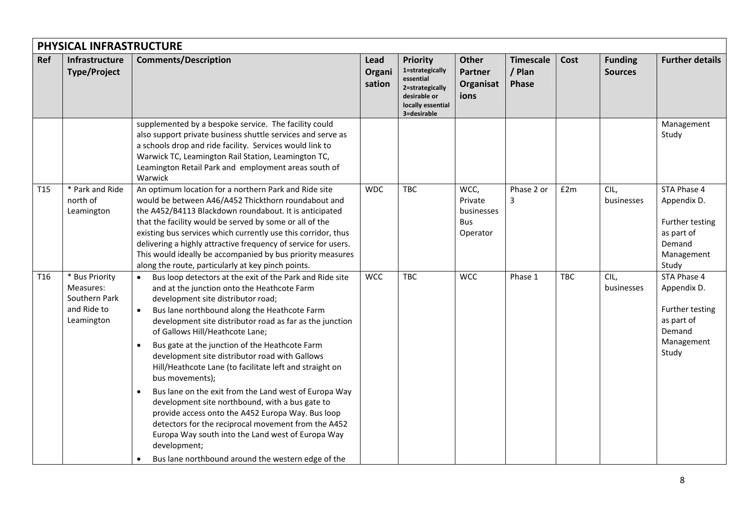|                 | <b>PHYSICAL INFRASTRUCTURE</b>                                            |                                                                                                                                                                                                                                                                                                                                                                                                                                                                                                                                                                                                                                                                                                                                                                                                                                   |                          |                                                                                                                        |                                                         |                                            |            |                                  |                                                                                              |  |
|-----------------|---------------------------------------------------------------------------|-----------------------------------------------------------------------------------------------------------------------------------------------------------------------------------------------------------------------------------------------------------------------------------------------------------------------------------------------------------------------------------------------------------------------------------------------------------------------------------------------------------------------------------------------------------------------------------------------------------------------------------------------------------------------------------------------------------------------------------------------------------------------------------------------------------------------------------|--------------------------|------------------------------------------------------------------------------------------------------------------------|---------------------------------------------------------|--------------------------------------------|------------|----------------------------------|----------------------------------------------------------------------------------------------|--|
| <b>Ref</b>      | Infrastructure<br><b>Type/Project</b>                                     | <b>Comments/Description</b>                                                                                                                                                                                                                                                                                                                                                                                                                                                                                                                                                                                                                                                                                                                                                                                                       | Lead<br>Organi<br>sation | <b>Priority</b><br>1=strategically<br>essential<br>2=strategically<br>desirable or<br>locally essential<br>3=desirable | <b>Other</b><br><b>Partner</b><br>Organisat<br>ions     | <b>Timescale</b><br>/ Plan<br><b>Phase</b> | Cost       | <b>Funding</b><br><b>Sources</b> | <b>Further details</b>                                                                       |  |
|                 |                                                                           | supplemented by a bespoke service. The facility could<br>also support private business shuttle services and serve as<br>a schools drop and ride facility. Services would link to<br>Warwick TC, Leamington Rail Station, Leamington TC,<br>Leamington Retail Park and employment areas south of<br>Warwick                                                                                                                                                                                                                                                                                                                                                                                                                                                                                                                        |                          |                                                                                                                        |                                                         |                                            |            |                                  | Management<br>Study                                                                          |  |
| T <sub>15</sub> | * Park and Ride<br>north of<br>Leamington                                 | An optimum location for a northern Park and Ride site<br>would be between A46/A452 Thickthorn roundabout and<br>the A452/B4113 Blackdown roundabout. It is anticipated<br>that the facility would be served by some or all of the<br>existing bus services which currently use this corridor, thus<br>delivering a highly attractive frequency of service for users.<br>This would ideally be accompanied by bus priority measures<br>along the route, particularly at key pinch points.                                                                                                                                                                                                                                                                                                                                          | <b>WDC</b>               | TBC                                                                                                                    | WCC,<br>Private<br>businesses<br><b>Bus</b><br>Operator | Phase 2 or<br>3                            | £2m        | CIL,<br>businesses               | STA Phase 4<br>Appendix D.<br>Further testing<br>as part of<br>Demand<br>Management<br>Study |  |
| T16             | * Bus Priority<br>Measures:<br>Southern Park<br>and Ride to<br>Leamington | Bus loop detectors at the exit of the Park and Ride site<br>and at the junction onto the Heathcote Farm<br>development site distributor road;<br>Bus lane northbound along the Heathcote Farm<br>development site distributor road as far as the junction<br>of Gallows Hill/Heathcote Lane;<br>Bus gate at the junction of the Heathcote Farm<br>development site distributor road with Gallows<br>Hill/Heathcote Lane (to facilitate left and straight on<br>bus movements);<br>Bus lane on the exit from the Land west of Europa Way<br>development site northbound, with a bus gate to<br>provide access onto the A452 Europa Way. Bus loop<br>detectors for the reciprocal movement from the A452<br>Europa Way south into the Land west of Europa Way<br>development;<br>Bus lane northbound around the western edge of the | <b>WCC</b>               | <b>TBC</b>                                                                                                             | <b>WCC</b>                                              | Phase 1                                    | <b>TBC</b> | CIL,<br>businesses               | STA Phase 4<br>Appendix D.<br>Further testing<br>as part of<br>Demand<br>Management<br>Study |  |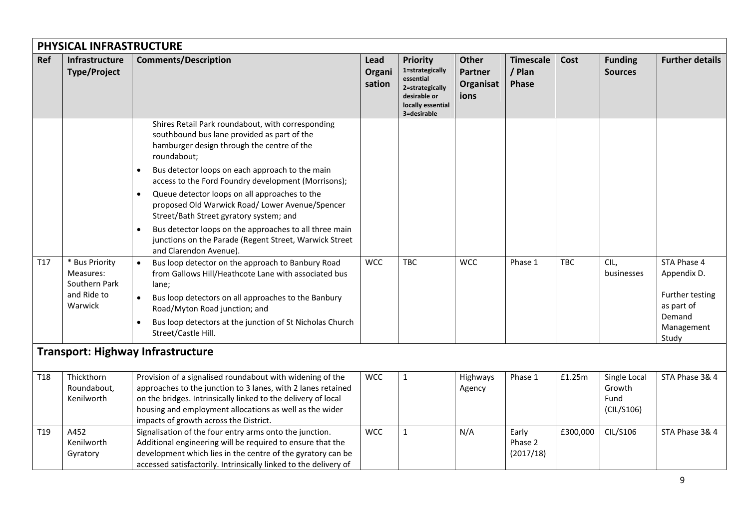|     | PHYSICAL INFRASTRUCTURE                                                |                                                                                                                                                                                                                                                                                                                                                                                                                                                                                                                                                                                                                                                                                                                                                                                                                                                                                                                 |                          |                                                                                                                        |                                                     |                                     |            |                                              |                                                                                     |
|-----|------------------------------------------------------------------------|-----------------------------------------------------------------------------------------------------------------------------------------------------------------------------------------------------------------------------------------------------------------------------------------------------------------------------------------------------------------------------------------------------------------------------------------------------------------------------------------------------------------------------------------------------------------------------------------------------------------------------------------------------------------------------------------------------------------------------------------------------------------------------------------------------------------------------------------------------------------------------------------------------------------|--------------------------|------------------------------------------------------------------------------------------------------------------------|-----------------------------------------------------|-------------------------------------|------------|----------------------------------------------|-------------------------------------------------------------------------------------|
| Ref | Infrastructure<br><b>Type/Project</b>                                  | <b>Comments/Description</b>                                                                                                                                                                                                                                                                                                                                                                                                                                                                                                                                                                                                                                                                                                                                                                                                                                                                                     | Lead<br>Organi<br>sation | <b>Priority</b><br>1=strategically<br>essential<br>2=strategically<br>desirable or<br>locally essential<br>3=desirable | <b>Other</b><br><b>Partner</b><br>Organisat<br>ions | <b>Timescale</b><br>/ Plan<br>Phase | Cost       | <b>Funding</b><br><b>Sources</b>             | <b>Further details</b>                                                              |
| T17 | * Bus Priority<br>Measures:<br>Southern Park<br>and Ride to<br>Warwick | Shires Retail Park roundabout, with corresponding<br>southbound bus lane provided as part of the<br>hamburger design through the centre of the<br>roundabout;<br>Bus detector loops on each approach to the main<br>$\bullet$<br>access to the Ford Foundry development (Morrisons);<br>Queue detector loops on all approaches to the<br>$\bullet$<br>proposed Old Warwick Road/ Lower Avenue/Spencer<br>Street/Bath Street gyratory system; and<br>Bus detector loops on the approaches to all three main<br>$\bullet$<br>junctions on the Parade (Regent Street, Warwick Street<br>and Clarendon Avenue).<br>Bus loop detector on the approach to Banbury Road<br>from Gallows Hill/Heathcote Lane with associated bus<br>lane;<br>Bus loop detectors on all approaches to the Banbury<br>$\bullet$<br>Road/Myton Road junction; and<br>Bus loop detectors at the junction of St Nicholas Church<br>$\bullet$ | <b>WCC</b>               | <b>TBC</b>                                                                                                             | <b>WCC</b>                                          | Phase 1                             | <b>TBC</b> | CIL,<br>businesses                           | STA Phase 4<br>Appendix D.<br>Further testing<br>as part of<br>Demand<br>Management |
|     |                                                                        | Street/Castle Hill.                                                                                                                                                                                                                                                                                                                                                                                                                                                                                                                                                                                                                                                                                                                                                                                                                                                                                             |                          |                                                                                                                        |                                                     |                                     |            |                                              | Study                                                                               |
|     |                                                                        | <b>Transport: Highway Infrastructure</b>                                                                                                                                                                                                                                                                                                                                                                                                                                                                                                                                                                                                                                                                                                                                                                                                                                                                        |                          |                                                                                                                        |                                                     |                                     |            |                                              |                                                                                     |
| T18 | Thickthorn<br>Roundabout,<br>Kenilworth                                | Provision of a signalised roundabout with widening of the<br>approaches to the junction to 3 lanes, with 2 lanes retained<br>on the bridges. Intrinsically linked to the delivery of local<br>housing and employment allocations as well as the wider<br>impacts of growth across the District.                                                                                                                                                                                                                                                                                                                                                                                                                                                                                                                                                                                                                 | <b>WCC</b>               | $\mathbf{1}$                                                                                                           | Highways<br>Agency                                  | Phase 1                             | £1.25m     | Single Local<br>Growth<br>Fund<br>(CIL/S106) | STA Phase 3& 4                                                                      |
| T19 | A452<br>Kenilworth<br>Gyratory                                         | Signalisation of the four entry arms onto the junction.<br>Additional engineering will be required to ensure that the<br>development which lies in the centre of the gyratory can be<br>accessed satisfactorily. Intrinsically linked to the delivery of                                                                                                                                                                                                                                                                                                                                                                                                                                                                                                                                                                                                                                                        | <b>WCC</b>               | $\mathbf{1}$                                                                                                           | N/A                                                 | Early<br>Phase 2<br>(2017/18)       | £300,000   | CIL/S106                                     | STA Phase 3& 4                                                                      |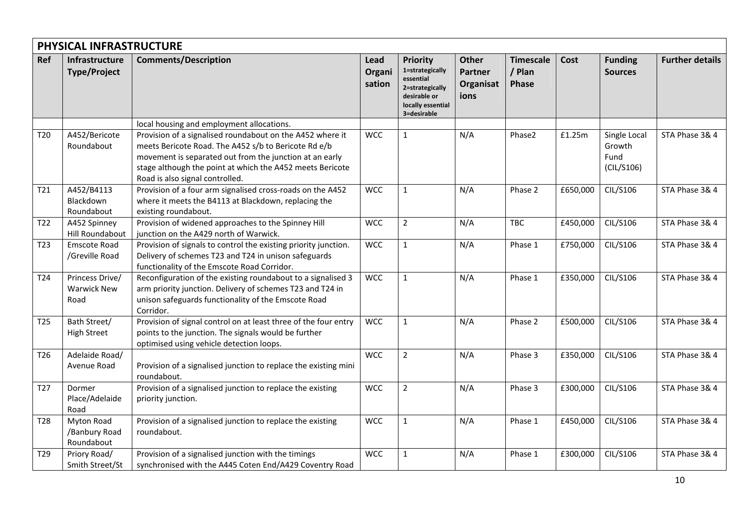|                 | PHYSICAL INFRASTRUCTURE                       |                                                                                                                                                                                                                                                                              |                          |                                                                                                                        |                                       |                                     |          |                                              |                        |  |  |  |  |
|-----------------|-----------------------------------------------|------------------------------------------------------------------------------------------------------------------------------------------------------------------------------------------------------------------------------------------------------------------------------|--------------------------|------------------------------------------------------------------------------------------------------------------------|---------------------------------------|-------------------------------------|----------|----------------------------------------------|------------------------|--|--|--|--|
| <b>Ref</b>      | Infrastructure<br><b>Type/Project</b>         | <b>Comments/Description</b>                                                                                                                                                                                                                                                  | Lead<br>Organi<br>sation | <b>Priority</b><br>1=strategically<br>essential<br>2=strategically<br>desirable or<br>locally essential<br>3=desirable | Other<br>Partner<br>Organisat<br>ions | <b>Timescale</b><br>/ Plan<br>Phase | Cost     | <b>Funding</b><br><b>Sources</b>             | <b>Further details</b> |  |  |  |  |
|                 |                                               | local housing and employment allocations.                                                                                                                                                                                                                                    |                          |                                                                                                                        |                                       |                                     |          |                                              |                        |  |  |  |  |
| T <sub>20</sub> | A452/Bericote<br>Roundabout                   | Provision of a signalised roundabout on the A452 where it<br>meets Bericote Road. The A452 s/b to Bericote Rd e/b<br>movement is separated out from the junction at an early<br>stage although the point at which the A452 meets Bericote<br>Road is also signal controlled. | <b>WCC</b>               | $\mathbf{1}$                                                                                                           | N/A                                   | Phase2                              | £1.25m   | Single Local<br>Growth<br>Fund<br>(CIL/S106) | STA Phase 3& 4         |  |  |  |  |
| T21             | A452/B4113<br>Blackdown<br>Roundabout         | Provision of a four arm signalised cross-roads on the A452<br>where it meets the B4113 at Blackdown, replacing the<br>existing roundabout.                                                                                                                                   | <b>WCC</b>               | $\mathbf{1}$                                                                                                           | N/A                                   | Phase 2                             | £650,000 | CIL/S106                                     | STA Phase 3& 4         |  |  |  |  |
| T22             | A452 Spinney<br>Hill Roundabout               | Provision of widened approaches to the Spinney Hill<br>junction on the A429 north of Warwick.                                                                                                                                                                                | <b>WCC</b>               | $\overline{2}$                                                                                                         | N/A                                   | <b>TBC</b>                          | £450,000 | CIL/S106                                     | STA Phase 3& 4         |  |  |  |  |
| T <sub>23</sub> | <b>Emscote Road</b><br>/Greville Road         | Provision of signals to control the existing priority junction.<br>Delivery of schemes T23 and T24 in unison safeguards<br>functionality of the Emscote Road Corridor.                                                                                                       | <b>WCC</b>               | $\mathbf{1}$                                                                                                           | N/A                                   | Phase 1                             | £750,000 | CIL/S106                                     | STA Phase 3& 4         |  |  |  |  |
| T24             | Princess Drive/<br><b>Warwick New</b><br>Road | Reconfiguration of the existing roundabout to a signalised 3<br>arm priority junction. Delivery of schemes T23 and T24 in<br>unison safeguards functionality of the Emscote Road<br>Corridor.                                                                                | <b>WCC</b>               | $\mathbf{1}$                                                                                                           | N/A                                   | Phase 1                             | £350,000 | CIL/S106                                     | STA Phase 3& 4         |  |  |  |  |
| T <sub>25</sub> | Bath Street/<br><b>High Street</b>            | Provision of signal control on at least three of the four entry<br>points to the junction. The signals would be further<br>optimised using vehicle detection loops.                                                                                                          | <b>WCC</b>               | $\mathbf{1}$                                                                                                           | N/A                                   | Phase 2                             | £500,000 | <b>CIL/S106</b>                              | STA Phase 3& 4         |  |  |  |  |
| T <sub>26</sub> | Adelaide Road/<br>Avenue Road                 | Provision of a signalised junction to replace the existing mini<br>roundabout.                                                                                                                                                                                               | <b>WCC</b>               | $\overline{2}$                                                                                                         | N/A                                   | Phase 3                             | £350,000 | CIL/S106                                     | STA Phase 3& 4         |  |  |  |  |
| T <sub>27</sub> | Dormer<br>Place/Adelaide<br>Road              | Provision of a signalised junction to replace the existing<br>priority junction.                                                                                                                                                                                             | <b>WCC</b>               | $\overline{2}$                                                                                                         | N/A                                   | Phase 3                             | £300,000 | CIL/S106                                     | STA Phase 3& 4         |  |  |  |  |
| T <sub>28</sub> | Myton Road<br>/Banbury Road<br>Roundabout     | Provision of a signalised junction to replace the existing<br>roundabout.                                                                                                                                                                                                    | <b>WCC</b>               | $\mathbf 1$                                                                                                            | N/A                                   | Phase 1                             | £450,000 | CIL/S106                                     | STA Phase 3& 4         |  |  |  |  |
| T29             | Priory Road/<br>Smith Street/St               | Provision of a signalised junction with the timings<br>synchronised with the A445 Coten End/A429 Coventry Road                                                                                                                                                               | <b>WCC</b>               | $\mathbf{1}$                                                                                                           | N/A                                   | Phase 1                             | £300,000 | CIL/S106                                     | STA Phase 3& 4         |  |  |  |  |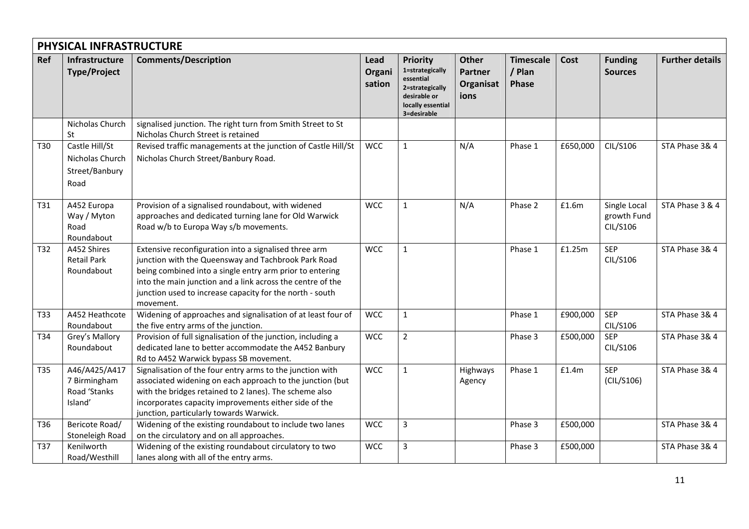|            | PHYSICAL INFRASTRUCTURE                                  |                                                                                                                                                                                                                                                                                                                 |                          |                                                                                                                        |                                              |                                     |          |                                         |                        |
|------------|----------------------------------------------------------|-----------------------------------------------------------------------------------------------------------------------------------------------------------------------------------------------------------------------------------------------------------------------------------------------------------------|--------------------------|------------------------------------------------------------------------------------------------------------------------|----------------------------------------------|-------------------------------------|----------|-----------------------------------------|------------------------|
| <b>Ref</b> | Infrastructure<br><b>Type/Project</b>                    | <b>Comments/Description</b>                                                                                                                                                                                                                                                                                     | Lead<br>Organi<br>sation | <b>Priority</b><br>1=strategically<br>essential<br>2=strategically<br>desirable or<br>locally essential<br>3=desirable | <b>Other</b><br>Partner<br>Organisat<br>ions | <b>Timescale</b><br>/ Plan<br>Phase | Cost     | <b>Funding</b><br><b>Sources</b>        | <b>Further details</b> |
|            | Nicholas Church                                          | signalised junction. The right turn from Smith Street to St                                                                                                                                                                                                                                                     |                          |                                                                                                                        |                                              |                                     |          |                                         |                        |
| T30        | St<br>Castle Hill/St                                     | Nicholas Church Street is retained<br>Revised traffic managements at the junction of Castle Hill/St                                                                                                                                                                                                             | <b>WCC</b>               | $\mathbf{1}$                                                                                                           | N/A                                          | Phase 1                             | £650,000 | CIL/S106                                | STA Phase 3& 4         |
|            |                                                          |                                                                                                                                                                                                                                                                                                                 |                          |                                                                                                                        |                                              |                                     |          |                                         |                        |
|            | Nicholas Church                                          | Nicholas Church Street/Banbury Road.                                                                                                                                                                                                                                                                            |                          |                                                                                                                        |                                              |                                     |          |                                         |                        |
|            | Street/Banbury                                           |                                                                                                                                                                                                                                                                                                                 |                          |                                                                                                                        |                                              |                                     |          |                                         |                        |
|            | Road                                                     |                                                                                                                                                                                                                                                                                                                 |                          |                                                                                                                        |                                              |                                     |          |                                         |                        |
| T31        | A452 Europa<br>Way / Myton<br>Road<br>Roundabout         | Provision of a signalised roundabout, with widened<br>approaches and dedicated turning lane for Old Warwick<br>Road w/b to Europa Way s/b movements.                                                                                                                                                            | <b>WCC</b>               | $\mathbf{1}$                                                                                                           | N/A                                          | Phase 2                             | £1.6m    | Single Local<br>growth Fund<br>CIL/S106 | STA Phase 3 & 4        |
| T32        | A452 Shires<br><b>Retail Park</b><br>Roundabout          | Extensive reconfiguration into a signalised three arm<br>junction with the Queensway and Tachbrook Park Road<br>being combined into a single entry arm prior to entering<br>into the main junction and a link across the centre of the<br>junction used to increase capacity for the north - south<br>movement. | <b>WCC</b>               | $\mathbf{1}$                                                                                                           |                                              | Phase 1                             | £1.25m   | <b>SEP</b><br>CIL/S106                  | STA Phase 3& 4         |
| T33        | A452 Heathcote<br>Roundabout                             | Widening of approaches and signalisation of at least four of<br>the five entry arms of the junction.                                                                                                                                                                                                            | <b>WCC</b>               | $\mathbf{1}$                                                                                                           |                                              | Phase 1                             | £900,000 | SEP<br>CIL/S106                         | STA Phase 3& 4         |
| T34        | Grey's Mallory<br>Roundabout                             | Provision of full signalisation of the junction, including a<br>dedicated lane to better accommodate the A452 Banbury<br>Rd to A452 Warwick bypass SB movement.                                                                                                                                                 | <b>WCC</b>               | $\overline{2}$                                                                                                         |                                              | Phase 3                             | £500,000 | <b>SEP</b><br>CIL/S106                  | STA Phase 3& 4         |
| T35        | A46/A425/A417<br>7 Birmingham<br>Road 'Stanks<br>Island' | Signalisation of the four entry arms to the junction with<br>associated widening on each approach to the junction (but<br>with the bridges retained to 2 lanes). The scheme also<br>incorporates capacity improvements either side of the<br>junction, particularly towards Warwick.                            | <b>WCC</b>               | $\mathbf{1}$                                                                                                           | Highways<br>Agency                           | Phase 1                             | £1.4m    | <b>SEP</b><br>(CIL/S106)                | STA Phase 3& 4         |
| T36        | Bericote Road/<br>Stoneleigh Road                        | Widening of the existing roundabout to include two lanes<br>on the circulatory and on all approaches.                                                                                                                                                                                                           | <b>WCC</b>               | $\mathsf 3$                                                                                                            |                                              | Phase 3                             | £500,000 |                                         | STA Phase 3& 4         |
| T37        | Kenilworth<br>Road/Westhill                              | Widening of the existing roundabout circulatory to two<br>lanes along with all of the entry arms.                                                                                                                                                                                                               | <b>WCC</b>               | $\overline{\mathbf{3}}$                                                                                                |                                              | Phase 3                             | £500,000 |                                         | STA Phase 3& 4         |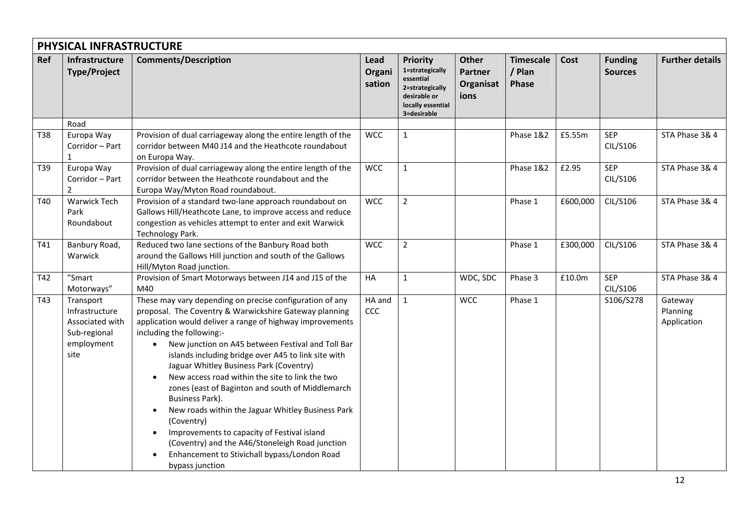|     | PHYSICAL INFRASTRUCTURE                                                              |                                                                                                                                                                                                                                                                                                                                                                                                                                                                                                                                                                                                                                                                                                                                                                                           |                          |                                                                                                                        |                                                     |                                     |          |                                  |                                    |  |
|-----|--------------------------------------------------------------------------------------|-------------------------------------------------------------------------------------------------------------------------------------------------------------------------------------------------------------------------------------------------------------------------------------------------------------------------------------------------------------------------------------------------------------------------------------------------------------------------------------------------------------------------------------------------------------------------------------------------------------------------------------------------------------------------------------------------------------------------------------------------------------------------------------------|--------------------------|------------------------------------------------------------------------------------------------------------------------|-----------------------------------------------------|-------------------------------------|----------|----------------------------------|------------------------------------|--|
| Ref | Infrastructure<br><b>Type/Project</b>                                                | <b>Comments/Description</b>                                                                                                                                                                                                                                                                                                                                                                                                                                                                                                                                                                                                                                                                                                                                                               | Lead<br>Organi<br>sation | <b>Priority</b><br>1=strategically<br>essential<br>2=strategically<br>desirable or<br>locally essential<br>3=desirable | <b>Other</b><br><b>Partner</b><br>Organisat<br>ions | <b>Timescale</b><br>/ Plan<br>Phase | Cost     | <b>Funding</b><br><b>Sources</b> | <b>Further details</b>             |  |
|     | Road                                                                                 |                                                                                                                                                                                                                                                                                                                                                                                                                                                                                                                                                                                                                                                                                                                                                                                           |                          |                                                                                                                        |                                                     |                                     |          |                                  |                                    |  |
| T38 | Europa Way<br>Corridor - Part<br>$\mathbf{1}$                                        | Provision of dual carriageway along the entire length of the<br>corridor between M40 J14 and the Heathcote roundabout<br>on Europa Way.                                                                                                                                                                                                                                                                                                                                                                                                                                                                                                                                                                                                                                                   | <b>WCC</b>               | $\mathbf{1}$                                                                                                           |                                                     | Phase 1&2                           | £5.55m   | <b>SEP</b><br>CIL/S106           | STA Phase 3& 4                     |  |
| T39 | Europa Way<br>Corridor - Part<br>$\overline{2}$                                      | Provision of dual carriageway along the entire length of the<br>corridor between the Heathcote roundabout and the<br>Europa Way/Myton Road roundabout.                                                                                                                                                                                                                                                                                                                                                                                                                                                                                                                                                                                                                                    | <b>WCC</b>               | $\mathbf{1}$                                                                                                           |                                                     | Phase 1&2                           | £2.95    | <b>SEP</b><br>CIL/S106           | STA Phase 3& 4                     |  |
| T40 | <b>Warwick Tech</b><br>Park<br>Roundabout                                            | Provision of a standard two-lane approach roundabout on<br>Gallows Hill/Heathcote Lane, to improve access and reduce<br>congestion as vehicles attempt to enter and exit Warwick<br>Technology Park.                                                                                                                                                                                                                                                                                                                                                                                                                                                                                                                                                                                      | <b>WCC</b>               | $\overline{2}$                                                                                                         |                                                     | Phase 1                             | £600,000 | CIL/S106                         | STA Phase 3& 4                     |  |
| T41 | Banbury Road,<br>Warwick                                                             | Reduced two lane sections of the Banbury Road both<br>around the Gallows Hill junction and south of the Gallows<br>Hill/Myton Road junction.                                                                                                                                                                                                                                                                                                                                                                                                                                                                                                                                                                                                                                              | <b>WCC</b>               | $\overline{2}$                                                                                                         |                                                     | Phase 1                             | £300,000 | CIL/S106                         | STA Phase 3& 4                     |  |
| T42 | "Smart<br>Motorways"                                                                 | Provision of Smart Motorways between J14 and J15 of the<br>M40                                                                                                                                                                                                                                                                                                                                                                                                                                                                                                                                                                                                                                                                                                                            | HA                       | $\mathbf{1}$                                                                                                           | WDC, SDC                                            | Phase 3                             | £10.0m   | <b>SEP</b><br>CIL/S106           | STA Phase 3& 4                     |  |
| T43 | Transport<br>Infrastructure<br>Associated with<br>Sub-regional<br>employment<br>site | These may vary depending on precise configuration of any<br>proposal. The Coventry & Warwickshire Gateway planning<br>application would deliver a range of highway improvements<br>including the following:-<br>New junction on A45 between Festival and Toll Bar<br>$\bullet$<br>islands including bridge over A45 to link site with<br>Jaguar Whitley Business Park (Coventry)<br>New access road within the site to link the two<br>$\bullet$<br>zones (east of Baginton and south of Middlemarch<br>Business Park).<br>New roads within the Jaguar Whitley Business Park<br>$\bullet$<br>(Coventry)<br>Improvements to capacity of Festival island<br>$\bullet$<br>(Coventry) and the A46/Stoneleigh Road junction<br>Enhancement to Stivichall bypass/London Road<br>bypass junction | HA and<br>CCC            | $\mathbf{1}$                                                                                                           | <b>WCC</b>                                          | Phase 1                             |          | S106/S278                        | Gateway<br>Planning<br>Application |  |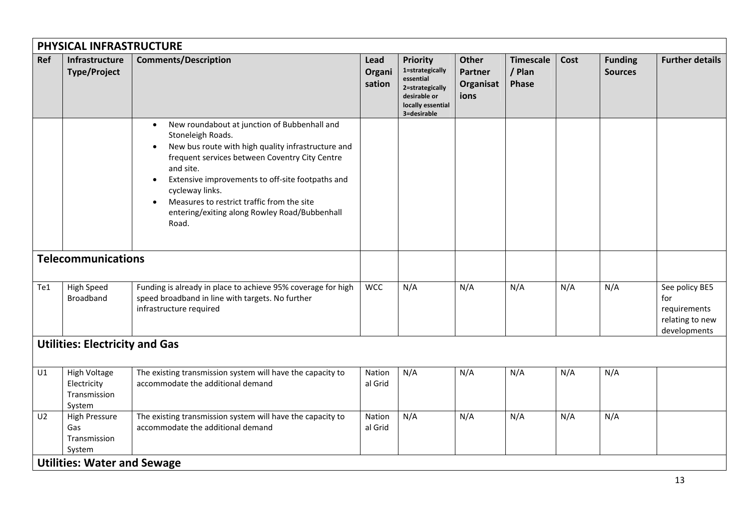|                | PHYSICAL INFRASTRUCTURE                               |                                                                                                                                                                                                                                                                                                                                                                                                              |                          |                                                                                                                        |                                                     |                                            |      |                                  |                                                                          |
|----------------|-------------------------------------------------------|--------------------------------------------------------------------------------------------------------------------------------------------------------------------------------------------------------------------------------------------------------------------------------------------------------------------------------------------------------------------------------------------------------------|--------------------------|------------------------------------------------------------------------------------------------------------------------|-----------------------------------------------------|--------------------------------------------|------|----------------------------------|--------------------------------------------------------------------------|
| Ref            | Infrastructure<br><b>Type/Project</b>                 | <b>Comments/Description</b>                                                                                                                                                                                                                                                                                                                                                                                  | Lead<br>Organi<br>sation | <b>Priority</b><br>1=strategically<br>essential<br>2=strategically<br>desirable or<br>locally essential<br>3=desirable | <b>Other</b><br><b>Partner</b><br>Organisat<br>ions | <b>Timescale</b><br>/ Plan<br><b>Phase</b> | Cost | <b>Funding</b><br><b>Sources</b> | <b>Further details</b>                                                   |
|                |                                                       | New roundabout at junction of Bubbenhall and<br>Stoneleigh Roads.<br>New bus route with high quality infrastructure and<br>$\bullet$<br>frequent services between Coventry City Centre<br>and site.<br>Extensive improvements to off-site footpaths and<br>$\bullet$<br>cycleway links.<br>Measures to restrict traffic from the site<br>$\bullet$<br>entering/exiting along Rowley Road/Bubbenhall<br>Road. |                          |                                                                                                                        |                                                     |                                            |      |                                  |                                                                          |
|                | <b>Telecommunications</b>                             |                                                                                                                                                                                                                                                                                                                                                                                                              |                          |                                                                                                                        |                                                     |                                            |      |                                  |                                                                          |
| Te1            | <b>High Speed</b><br><b>Broadband</b>                 | Funding is already in place to achieve 95% coverage for high<br>speed broadband in line with targets. No further<br>infrastructure required                                                                                                                                                                                                                                                                  | <b>WCC</b>               | N/A                                                                                                                    | N/A                                                 | N/A                                        | N/A  | N/A                              | See policy BE5<br>for<br>requirements<br>relating to new<br>developments |
|                | <b>Utilities: Electricity and Gas</b>                 |                                                                                                                                                                                                                                                                                                                                                                                                              |                          |                                                                                                                        |                                                     |                                            |      |                                  |                                                                          |
| U1             | High Voltage<br>Electricity<br>Transmission<br>System | The existing transmission system will have the capacity to<br>accommodate the additional demand                                                                                                                                                                                                                                                                                                              | Nation<br>al Grid        | N/A                                                                                                                    | N/A                                                 | N/A                                        | N/A  | N/A                              |                                                                          |
| U <sub>2</sub> | <b>High Pressure</b><br>Gas<br>Transmission<br>System | The existing transmission system will have the capacity to<br>accommodate the additional demand                                                                                                                                                                                                                                                                                                              | Nation<br>al Grid        | N/A                                                                                                                    | N/A                                                 | N/A                                        | N/A  | N/A                              |                                                                          |
|                | <b>Utilities: Water and Sewage</b>                    |                                                                                                                                                                                                                                                                                                                                                                                                              |                          |                                                                                                                        |                                                     |                                            |      |                                  |                                                                          |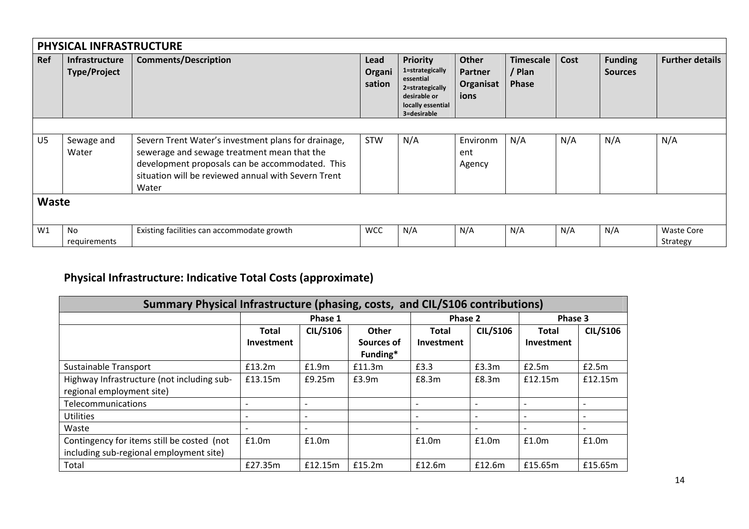|                | PHYSICAL INFRASTRUCTURE                      |                                                                                                                                                                                                                       |                          |                                                                                                                        |                                              |                                            |      |                                  |                               |  |  |  |
|----------------|----------------------------------------------|-----------------------------------------------------------------------------------------------------------------------------------------------------------------------------------------------------------------------|--------------------------|------------------------------------------------------------------------------------------------------------------------|----------------------------------------------|--------------------------------------------|------|----------------------------------|-------------------------------|--|--|--|
| Ref            | <b>Infrastructure</b><br><b>Type/Project</b> | <b>Comments/Description</b>                                                                                                                                                                                           | Lead<br>Organi<br>sation | <b>Priority</b><br>1=strategically<br>essential<br>2=strategically<br>desirable or<br>locally essential<br>3=desirable | Other<br><b>Partner</b><br>Organisat<br>ions | <b>Timescale</b><br>' Plan<br><b>Phase</b> | Cost | <b>Funding</b><br><b>Sources</b> | <b>Further details</b>        |  |  |  |
| U <sub>5</sub> | Sewage and<br>Water                          | Severn Trent Water's investment plans for drainage,<br>sewerage and sewage treatment mean that the<br>development proposals can be accommodated. This<br>situation will be reviewed annual with Severn Trent<br>Water | <b>STW</b>               | N/A                                                                                                                    | Environm<br>ent<br>Agency                    | N/A                                        | N/A  | N/A                              | N/A                           |  |  |  |
| Waste          |                                              |                                                                                                                                                                                                                       |                          |                                                                                                                        |                                              |                                            |      |                                  |                               |  |  |  |
| W1             | No<br>requirements                           | Existing facilities can accommodate growth                                                                                                                                                                            | <b>WCC</b>               | N/A                                                                                                                    | N/A                                          | N/A                                        | N/A  | N/A                              | <b>Waste Core</b><br>Strategy |  |  |  |

## **Physical Infrastructure: Indicative Total Costs (approximate)**

| Summary Physical Infrastructure (phasing, costs, and CIL/S106 contributions) |                   |                          |            |                          |                 |                          |                 |  |  |  |  |
|------------------------------------------------------------------------------|-------------------|--------------------------|------------|--------------------------|-----------------|--------------------------|-----------------|--|--|--|--|
|                                                                              |                   | Phase 1                  |            | Phase 2                  |                 | Phase 3                  |                 |  |  |  |  |
|                                                                              | <b>Total</b>      | <b>CIL/S106</b>          | Other      | <b>Total</b>             | <b>CIL/S106</b> | <b>Total</b>             | <b>CIL/S106</b> |  |  |  |  |
|                                                                              | <b>Investment</b> |                          | Sources of | Investment               |                 | Investment               |                 |  |  |  |  |
|                                                                              |                   |                          | Funding*   |                          |                 |                          |                 |  |  |  |  |
| Sustainable Transport                                                        | £13.2m            | £1.9m                    | £11.3m     | £3.3                     | £3.3m           | £2.5m                    | £2.5m           |  |  |  |  |
| Highway Infrastructure (not including sub-                                   | £13.15m           | £9.25m                   | £3.9m      | E8.3m                    | E8.3m           | £12.15m                  | f12.15m         |  |  |  |  |
| regional employment site)                                                    |                   |                          |            |                          |                 |                          |                 |  |  |  |  |
| Telecommunications                                                           |                   | $\overline{\phantom{0}}$ |            | $\overline{\phantom{0}}$ |                 | $\overline{\phantom{0}}$ |                 |  |  |  |  |
| Utilities                                                                    |                   |                          |            |                          |                 |                          |                 |  |  |  |  |
| Waste                                                                        |                   | $\overline{\phantom{0}}$ |            |                          |                 |                          |                 |  |  |  |  |
| Contingency for items still be costed (not                                   | f1.0m             | £1.0m                    |            | £1.0m                    | £1.0m           | £1.0m                    | £1.0m           |  |  |  |  |
| including sub-regional employment site)                                      |                   |                          |            |                          |                 |                          |                 |  |  |  |  |
| Total                                                                        | £27.35m           | £12.15m                  | £15.2m     | £12.6m                   | £12.6m          | £15.65m                  | £15.65m         |  |  |  |  |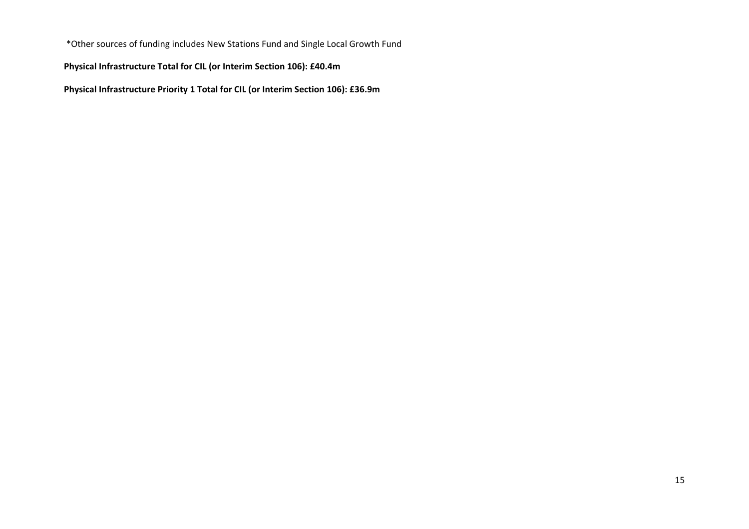\*Other sources of funding includes New Stations Fund and Single Local Growth Fund

**Physical Infrastructure Total for CIL (or Interim Section 106): £40.4m**

**Physical Infrastructure Priority 1 Total for CIL (or Interim Section 106): £36.9m**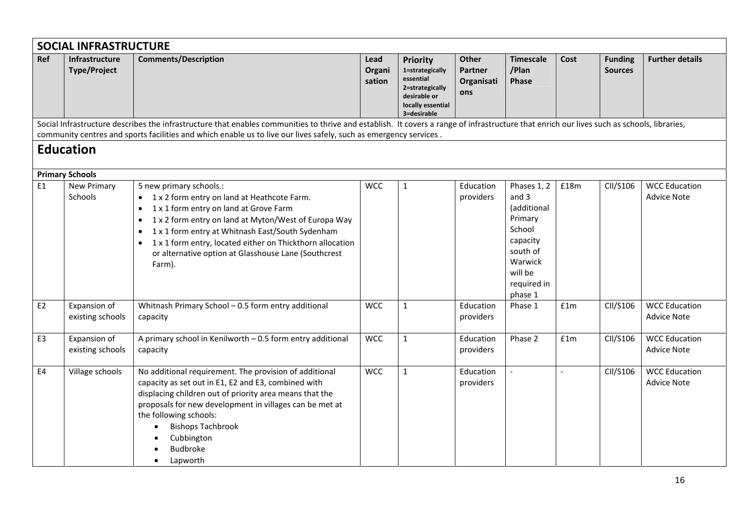|                | <b>SOCIAL INFRASTRUCTURE</b>          |                                                                                                                                                                                                                                                                                                                                                                          |                          |                                                                                                                        |                                                     |                                                                                                                                  |      |                                  |                                            |
|----------------|---------------------------------------|--------------------------------------------------------------------------------------------------------------------------------------------------------------------------------------------------------------------------------------------------------------------------------------------------------------------------------------------------------------------------|--------------------------|------------------------------------------------------------------------------------------------------------------------|-----------------------------------------------------|----------------------------------------------------------------------------------------------------------------------------------|------|----------------------------------|--------------------------------------------|
| Ref            | Infrastructure<br><b>Type/Project</b> | <b>Comments/Description</b>                                                                                                                                                                                                                                                                                                                                              | Lead<br>Organi<br>sation | <b>Priority</b><br>1=strategically<br>essential<br>2=strategically<br>desirable or<br>locally essential<br>3=desirable | <b>Other</b><br><b>Partner</b><br>Organisati<br>ons | <b>Timescale</b><br>/Plan<br>Phase                                                                                               | Cost | <b>Funding</b><br><b>Sources</b> | <b>Further details</b>                     |
|                |                                       | Social Infrastructure describes the infrastructure that enables communities to thrive and establish. It covers a range of infrastructure that enrich our lives such as schools, libraries,                                                                                                                                                                               |                          |                                                                                                                        |                                                     |                                                                                                                                  |      |                                  |                                            |
|                |                                       | community centres and sports facilities and which enable us to live our lives safely, such as emergency services.                                                                                                                                                                                                                                                        |                          |                                                                                                                        |                                                     |                                                                                                                                  |      |                                  |                                            |
|                | <b>Education</b>                      |                                                                                                                                                                                                                                                                                                                                                                          |                          |                                                                                                                        |                                                     |                                                                                                                                  |      |                                  |                                            |
|                | <b>Primary Schools</b>                |                                                                                                                                                                                                                                                                                                                                                                          |                          |                                                                                                                        |                                                     |                                                                                                                                  |      |                                  |                                            |
| E1             | <b>New Primary</b><br>Schools         | 5 new primary schools.:<br>1 x 2 form entry on land at Heathcote Farm.<br>1 x 1 form entry on land at Grove Farm<br>1 x 2 form entry on land at Myton/West of Europa Way<br>1 x 1 form entry at Whitnash East/South Sydenham<br>$\bullet$<br>1 x 1 form entry, located either on Thickthorn allocation<br>or alternative option at Glasshouse Lane (Southcrest<br>Farm). | <b>WCC</b>               | 1                                                                                                                      | Education<br>providers                              | Phases 1, 2<br>and 3<br>(additional<br>Primary<br>School<br>capacity<br>south of<br>Warwick<br>will be<br>required in<br>phase 1 | £18m | CII/S106                         | <b>WCC Education</b><br><b>Advice Note</b> |
| E <sub>2</sub> | Expansion of<br>existing schools      | Whitnash Primary School - 0.5 form entry additional<br>capacity                                                                                                                                                                                                                                                                                                          | <b>WCC</b>               | $\mathbf{1}$                                                                                                           | Education<br>providers                              | Phase 1                                                                                                                          | £1m  | CII/S106                         | <b>WCC Education</b><br><b>Advice Note</b> |
| E <sub>3</sub> | Expansion of<br>existing schools      | A primary school in Kenilworth - 0.5 form entry additional<br>capacity                                                                                                                                                                                                                                                                                                   | <b>WCC</b>               | $\mathbf{1}$                                                                                                           | Education<br>providers                              | Phase 2                                                                                                                          | f1m  | CII/S106                         | <b>WCC Education</b><br><b>Advice Note</b> |
| E4             | Village schools                       | No additional requirement. The provision of additional<br>capacity as set out in E1, E2 and E3, combined with<br>displacing children out of priority area means that the<br>proposals for new development in villages can be met at<br>the following schools:<br><b>Bishops Tachbrook</b><br>Cubbington<br>Budbroke<br>Lapworth                                          | <b>WCC</b>               | $\mathbf{1}$                                                                                                           | Education<br>providers                              |                                                                                                                                  |      | CII/S106                         | <b>WCC Education</b><br><b>Advice Note</b> |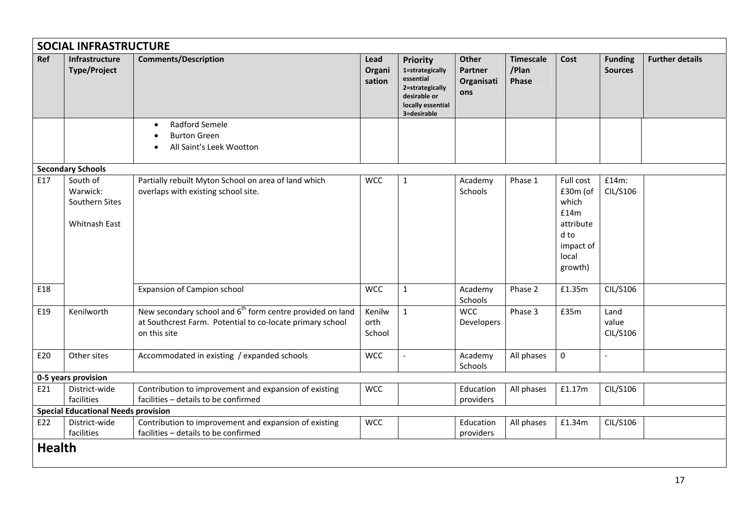|               | <b>SOCIAL INFRASTRUCTURE</b>                                   |                                                                                                                                                    |                          |                                                                                                                        |                                              |                                    |                                                                                                        |                                  |                        |
|---------------|----------------------------------------------------------------|----------------------------------------------------------------------------------------------------------------------------------------------------|--------------------------|------------------------------------------------------------------------------------------------------------------------|----------------------------------------------|------------------------------------|--------------------------------------------------------------------------------------------------------|----------------------------------|------------------------|
| Ref           | <b>Infrastructure</b><br><b>Type/Project</b>                   | <b>Comments/Description</b>                                                                                                                        | Lead<br>Organi<br>sation | <b>Priority</b><br>1=strategically<br>essential<br>2=strategically<br>desirable or<br>locally essential<br>3=desirable | Other<br><b>Partner</b><br>Organisati<br>ons | <b>Timescale</b><br>/Plan<br>Phase | Cost                                                                                                   | <b>Funding</b><br><b>Sources</b> | <b>Further details</b> |
|               |                                                                | Radford Semele<br>$\bullet$                                                                                                                        |                          |                                                                                                                        |                                              |                                    |                                                                                                        |                                  |                        |
|               |                                                                | <b>Burton Green</b><br>$\bullet$                                                                                                                   |                          |                                                                                                                        |                                              |                                    |                                                                                                        |                                  |                        |
|               |                                                                | All Saint's Leek Wootton                                                                                                                           |                          |                                                                                                                        |                                              |                                    |                                                                                                        |                                  |                        |
|               | <b>Secondary Schools</b>                                       |                                                                                                                                                    |                          |                                                                                                                        |                                              |                                    |                                                                                                        |                                  |                        |
| E17<br>E18    | South of<br>Warwick:<br>Southern Sites<br><b>Whitnash East</b> | Partially rebuilt Myton School on area of land which<br>overlaps with existing school site.<br>Expansion of Campion school                         | <b>WCC</b><br><b>WCC</b> | $\mathbf{1}$<br>$\mathbf{1}$                                                                                           | Academy<br>Schools<br>Academy<br>Schools     | Phase 1<br>Phase 2                 | Full cost<br>£30m (of<br>which<br>£14m<br>attribute<br>d to<br>impact of<br>local<br>growth)<br>£1.35m | £14m:<br>CIL/S106<br>CIL/S106    |                        |
| E19           | Kenilworth                                                     | New secondary school and 6 <sup>th</sup> form centre provided on land<br>at Southcrest Farm. Potential to co-locate primary school<br>on this site | Kenilw<br>orth<br>School | $\mathbf{1}$                                                                                                           | <b>WCC</b><br>Developers                     | Phase 3                            | £35m                                                                                                   | Land<br>value<br>CIL/S106        |                        |
| E20           | Other sites                                                    | Accommodated in existing / expanded schools                                                                                                        | <b>WCC</b>               | $\ddot{\phantom{a}}$                                                                                                   | Academy<br>Schools                           | All phases                         | $\mathbf 0$                                                                                            | $\equiv$                         |                        |
|               | 0-5 years provision                                            |                                                                                                                                                    |                          |                                                                                                                        |                                              |                                    |                                                                                                        |                                  |                        |
| E21           | District-wide                                                  | Contribution to improvement and expansion of existing                                                                                              | <b>WCC</b>               |                                                                                                                        | Education                                    | All phases                         | £1.17m                                                                                                 | CIL/S106                         |                        |
|               | facilities<br><b>Special Educational Needs provision</b>       | facilities - details to be confirmed                                                                                                               |                          |                                                                                                                        | providers                                    |                                    |                                                                                                        |                                  |                        |
| E22           | District-wide                                                  | Contribution to improvement and expansion of existing                                                                                              | <b>WCC</b>               |                                                                                                                        | Education                                    | All phases                         | £1.34m                                                                                                 | CIL/S106                         |                        |
|               | facilities                                                     | facilities - details to be confirmed                                                                                                               |                          |                                                                                                                        | providers                                    |                                    |                                                                                                        |                                  |                        |
| <b>Health</b> |                                                                |                                                                                                                                                    |                          |                                                                                                                        |                                              |                                    |                                                                                                        |                                  |                        |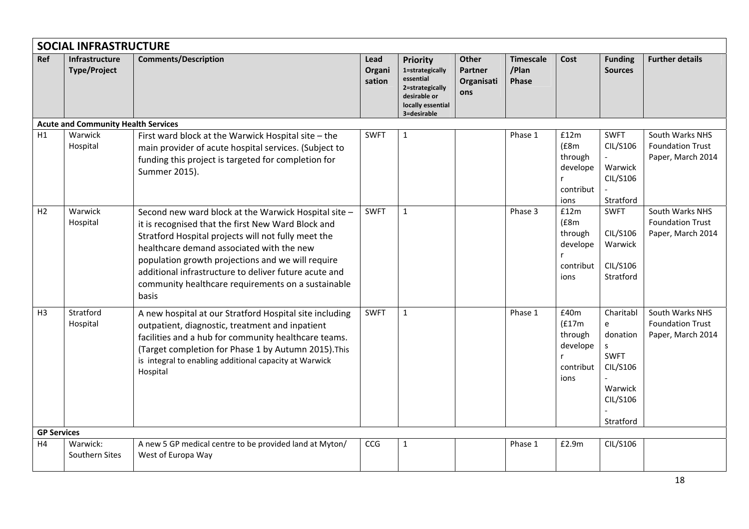|                    | <b>SOCIAL INFRASTRUCTURE</b>                 |                                                                                                                                                                                                                                                                                                                                                                                             |                          |                                                                                                                 |                                              |                                    |                                                                  |                                                                                                |                                                                 |
|--------------------|----------------------------------------------|---------------------------------------------------------------------------------------------------------------------------------------------------------------------------------------------------------------------------------------------------------------------------------------------------------------------------------------------------------------------------------------------|--------------------------|-----------------------------------------------------------------------------------------------------------------|----------------------------------------------|------------------------------------|------------------------------------------------------------------|------------------------------------------------------------------------------------------------|-----------------------------------------------------------------|
| Ref                | <b>Infrastructure</b><br><b>Type/Project</b> | <b>Comments/Description</b>                                                                                                                                                                                                                                                                                                                                                                 | Lead<br>Organi<br>sation | Priority<br>1=strategically<br>essential<br>2=strategically<br>desirable or<br>locally essential<br>3=desirable | Other<br><b>Partner</b><br>Organisati<br>ons | <b>Timescale</b><br>/Plan<br>Phase | Cost                                                             | <b>Funding</b><br><b>Sources</b>                                                               | <b>Further details</b>                                          |
|                    | <b>Acute and Community Health Services</b>   |                                                                                                                                                                                                                                                                                                                                                                                             |                          |                                                                                                                 |                                              |                                    |                                                                  |                                                                                                |                                                                 |
| H1                 | Warwick<br>Hospital                          | First ward block at the Warwick Hospital site - the<br>main provider of acute hospital services. (Subject to<br>funding this project is targeted for completion for<br>Summer 2015).                                                                                                                                                                                                        | <b>SWFT</b>              | $\mathbf{1}$                                                                                                    |                                              | Phase 1                            | £12m<br>$f$ £8m<br>through<br>develope<br>r<br>contribut<br>ions | <b>SWFT</b><br>CIL/S106<br>Warwick<br>CIL/S106<br>Stratford                                    | South Warks NHS<br><b>Foundation Trust</b><br>Paper, March 2014 |
| H2                 | Warwick<br>Hospital                          | Second new ward block at the Warwick Hospital site -<br>it is recognised that the first New Ward Block and<br>Stratford Hospital projects will not fully meet the<br>healthcare demand associated with the new<br>population growth projections and we will require<br>additional infrastructure to deliver future acute and<br>community healthcare requirements on a sustainable<br>basis | <b>SWFT</b>              | $\mathbf 1$                                                                                                     |                                              | Phase 3                            | £12m<br>(E8m)<br>through<br>develope<br>contribut<br>ions        | <b>SWFT</b><br>CIL/S106<br>Warwick<br>CIL/S106<br>Stratford                                    | South Warks NHS<br><b>Foundation Trust</b><br>Paper, March 2014 |
| H <sub>3</sub>     | Stratford<br>Hospital                        | A new hospital at our Stratford Hospital site including<br>outpatient, diagnostic, treatment and inpatient<br>facilities and a hub for community healthcare teams.<br>(Target completion for Phase 1 by Autumn 2015). This<br>is integral to enabling additional capacity at Warwick<br>Hospital                                                                                            | <b>SWFT</b>              | $\mathbf{1}$                                                                                                    |                                              | Phase 1                            | £40m<br>(E17m)<br>through<br>develope<br>r<br>contribut<br>ions  | Charitabl<br>e<br>donation<br>S<br><b>SWFT</b><br>CIL/S106<br>Warwick<br>CIL/S106<br>Stratford | South Warks NHS<br><b>Foundation Trust</b><br>Paper, March 2014 |
| <b>GP Services</b> |                                              |                                                                                                                                                                                                                                                                                                                                                                                             |                          |                                                                                                                 |                                              |                                    |                                                                  |                                                                                                |                                                                 |
| H4                 | Warwick:<br>Southern Sites                   | A new 5 GP medical centre to be provided land at Myton/<br>West of Europa Way                                                                                                                                                                                                                                                                                                               | CCG                      | $\mathbf 1$                                                                                                     |                                              | Phase 1                            | £2.9m                                                            | CIL/S106                                                                                       |                                                                 |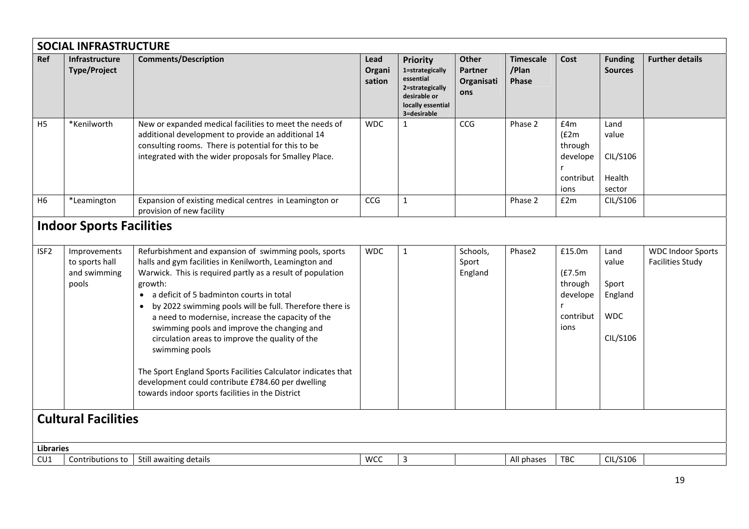|                  | <b>SOCIAL INFRASTRUCTURE</b>                            |                                                                                                                                                                                                                                                                                                                                                                                                                                                                                                                                                                                                                                                      |                          |                                                                                                                        |                                       |                                    |                                                                    |                                                             |                                                     |
|------------------|---------------------------------------------------------|------------------------------------------------------------------------------------------------------------------------------------------------------------------------------------------------------------------------------------------------------------------------------------------------------------------------------------------------------------------------------------------------------------------------------------------------------------------------------------------------------------------------------------------------------------------------------------------------------------------------------------------------------|--------------------------|------------------------------------------------------------------------------------------------------------------------|---------------------------------------|------------------------------------|--------------------------------------------------------------------|-------------------------------------------------------------|-----------------------------------------------------|
| Ref              | <b>Infrastructure</b><br><b>Type/Project</b>            | <b>Comments/Description</b>                                                                                                                                                                                                                                                                                                                                                                                                                                                                                                                                                                                                                          | Lead<br>Organi<br>sation | <b>Priority</b><br>1=strategically<br>essential<br>2=strategically<br>desirable or<br>locally essential<br>3=desirable | Other<br>Partner<br>Organisati<br>ons | <b>Timescale</b><br>/Plan<br>Phase | Cost                                                               | <b>Funding</b><br><b>Sources</b>                            | <b>Further details</b>                              |
| H <sub>5</sub>   | *Kenilworth                                             | New or expanded medical facilities to meet the needs of<br>additional development to provide an additional 14<br>consulting rooms. There is potential for this to be<br>integrated with the wider proposals for Smalley Place.                                                                                                                                                                                                                                                                                                                                                                                                                       | <b>WDC</b>               | $\mathbf{1}$                                                                                                           | CCG                                   | Phase 2                            | f4m<br>(E2m)<br>through<br>develope<br>r<br>contribut<br>ions      | Land<br>value<br>CIL/S106<br>Health<br>sector               |                                                     |
| H <sub>6</sub>   | *Leamington                                             | Expansion of existing medical centres in Leamington or<br>provision of new facility                                                                                                                                                                                                                                                                                                                                                                                                                                                                                                                                                                  | CCG                      | $\mathbf{1}$                                                                                                           |                                       | Phase 2                            | £2m                                                                | CIL/S106                                                    |                                                     |
|                  | <b>Indoor Sports Facilities</b>                         |                                                                                                                                                                                                                                                                                                                                                                                                                                                                                                                                                                                                                                                      |                          |                                                                                                                        |                                       |                                    |                                                                    |                                                             |                                                     |
| ISF <sub>2</sub> | Improvements<br>to sports hall<br>and swimming<br>pools | Refurbishment and expansion of swimming pools, sports<br>halls and gym facilities in Kenilworth, Leamington and<br>Warwick. This is required partly as a result of population<br>growth:<br>• a deficit of 5 badminton courts in total<br>by 2022 swimming pools will be full. Therefore there is<br>a need to modernise, increase the capacity of the<br>swimming pools and improve the changing and<br>circulation areas to improve the quality of the<br>swimming pools<br>The Sport England Sports Facilities Calculator indicates that<br>development could contribute £784.60 per dwelling<br>towards indoor sports facilities in the District | <b>WDC</b>               | $\mathbf{1}$                                                                                                           | Schools,<br>Sport<br>England          | Phase2                             | £15.0m<br>(E7.5m)<br>through<br>develope<br>r<br>contribut<br>ions | Land<br>value<br>Sport<br>England<br><b>WDC</b><br>CIL/S106 | <b>WDC Indoor Sports</b><br><b>Facilities Study</b> |
|                  | <b>Cultural Facilities</b>                              |                                                                                                                                                                                                                                                                                                                                                                                                                                                                                                                                                                                                                                                      |                          |                                                                                                                        |                                       |                                    |                                                                    |                                                             |                                                     |
| <b>Libraries</b> |                                                         |                                                                                                                                                                                                                                                                                                                                                                                                                                                                                                                                                                                                                                                      |                          |                                                                                                                        |                                       |                                    |                                                                    |                                                             |                                                     |
| CU1              |                                                         | Contributions to   Still awaiting details                                                                                                                                                                                                                                                                                                                                                                                                                                                                                                                                                                                                            | <b>WCC</b>               | $\mathbf{3}$                                                                                                           |                                       | All phases                         | <b>TBC</b>                                                         | CIL/S106                                                    |                                                     |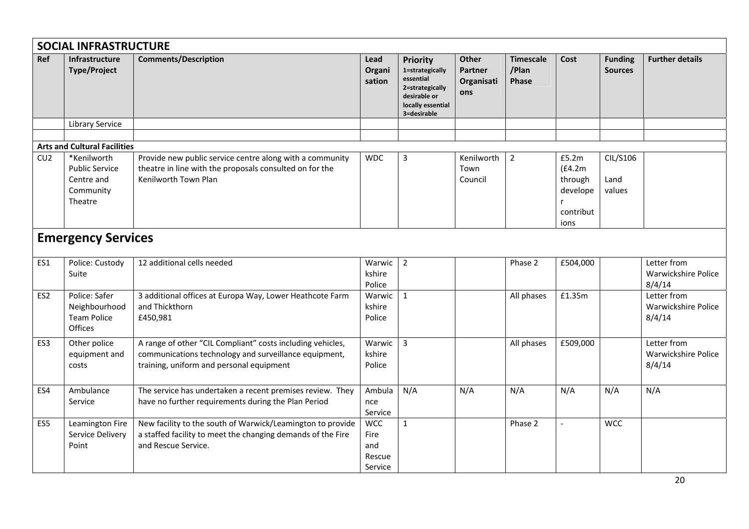|                 | <b>SOCIAL INFRASTRUCTURE</b>                                               |                                                                                                                                                                 |                                                |                                                                                                                        |                                              |                                    |                                                                   |                                  |                                              |
|-----------------|----------------------------------------------------------------------------|-----------------------------------------------------------------------------------------------------------------------------------------------------------------|------------------------------------------------|------------------------------------------------------------------------------------------------------------------------|----------------------------------------------|------------------------------------|-------------------------------------------------------------------|----------------------------------|----------------------------------------------|
| Ref             | <b>Infrastructure</b><br><b>Type/Project</b>                               | <b>Comments/Description</b>                                                                                                                                     | <b>Lead</b><br>Organi<br>sation                | <b>Priority</b><br>1=strategically<br>essential<br>2=strategically<br>desirable or<br>locally essential<br>3=desirable | Other<br><b>Partner</b><br>Organisati<br>ons | <b>Timescale</b><br>/Plan<br>Phase | Cost                                                              | <b>Funding</b><br><b>Sources</b> | <b>Further details</b>                       |
|                 | <b>Library Service</b>                                                     |                                                                                                                                                                 |                                                |                                                                                                                        |                                              |                                    |                                                                   |                                  |                                              |
|                 |                                                                            |                                                                                                                                                                 |                                                |                                                                                                                        |                                              |                                    |                                                                   |                                  |                                              |
|                 | <b>Arts and Cultural Facilities</b>                                        |                                                                                                                                                                 |                                                |                                                                                                                        |                                              |                                    |                                                                   |                                  |                                              |
| CU2             | *Kenilworth<br><b>Public Service</b><br>Centre and<br>Community<br>Theatre | Provide new public service centre along with a community<br>theatre in line with the proposals consulted on for the<br>Kenilworth Town Plan                     | <b>WDC</b>                                     | 3                                                                                                                      | Kenilworth<br>Town<br>Council                | $\overline{2}$                     | £5.2m<br>(f4.2m)<br>through<br>develope<br>r<br>contribut<br>ions | CIL/S106<br>Land<br>values       |                                              |
|                 | <b>Emergency Services</b>                                                  |                                                                                                                                                                 |                                                |                                                                                                                        |                                              |                                    |                                                                   |                                  |                                              |
| ES1             | Police: Custody<br>Suite                                                   | 12 additional cells needed                                                                                                                                      | Warwic<br>kshire<br>Police                     | $\overline{2}$                                                                                                         |                                              | Phase 2                            | £504,000                                                          |                                  | Letter from<br>Warwickshire Police<br>8/4/14 |
| ES <sub>2</sub> | Police: Safer<br>Neighbourhood<br><b>Team Police</b><br>Offices            | 3 additional offices at Europa Way, Lower Heathcote Farm<br>and Thickthorn<br>£450,981                                                                          | Warwic<br>kshire<br>Police                     | $\mathbf{1}$                                                                                                           |                                              | All phases                         | £1.35m                                                            |                                  | Letter from<br>Warwickshire Police<br>8/4/14 |
| ES <sub>3</sub> | Other police<br>equipment and<br>costs                                     | A range of other "CIL Compliant" costs including vehicles,<br>communications technology and surveillance equipment,<br>training, uniform and personal equipment | Warwic<br>kshire<br>Police                     | $\overline{3}$                                                                                                         |                                              | All phases                         | £509,000                                                          |                                  | Letter from<br>Warwickshire Police<br>8/4/14 |
| ES4             | Ambulance<br>Service                                                       | The service has undertaken a recent premises review. They<br>have no further requirements during the Plan Period                                                | Ambula<br>nce<br>Service                       | N/A                                                                                                                    | N/A                                          | N/A                                | N/A                                                               | N/A                              | N/A                                          |
| ES <sub>5</sub> | Leamington Fire<br>Service Delivery<br>Point                               | New facility to the south of Warwick/Leamington to provide<br>a staffed facility to meet the changing demands of the Fire<br>and Rescue Service.                | <b>WCC</b><br>Fire<br>and<br>Rescue<br>Service | $\mathbf{1}$                                                                                                           |                                              | Phase 2                            | $\overline{a}$                                                    | <b>WCC</b>                       |                                              |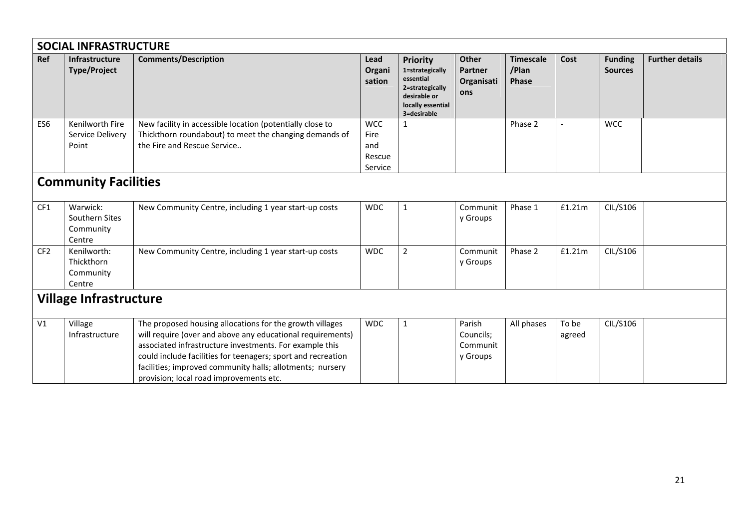|                 | <b>SOCIAL INFRASTRUCTURE</b>                      |                                                                                                                                                                                                                                                                                                                                                           |                                                |                                                                                                                        |                                              |                                           |                 |                                  |                        |
|-----------------|---------------------------------------------------|-----------------------------------------------------------------------------------------------------------------------------------------------------------------------------------------------------------------------------------------------------------------------------------------------------------------------------------------------------------|------------------------------------------------|------------------------------------------------------------------------------------------------------------------------|----------------------------------------------|-------------------------------------------|-----------------|----------------------------------|------------------------|
| Ref             | <b>Infrastructure</b><br><b>Type/Project</b>      | <b>Comments/Description</b>                                                                                                                                                                                                                                                                                                                               | Lead<br>Organi<br>sation                       | <b>Priority</b><br>1=strategically<br>essential<br>2=strategically<br>desirable or<br>locally essential<br>3=desirable | <b>Other</b><br>Partner<br>Organisati<br>ons | <b>Timescale</b><br>/Plan<br><b>Phase</b> | Cost            | <b>Funding</b><br><b>Sources</b> | <b>Further details</b> |
| ES <sub>6</sub> | Kenilworth Fire<br>Service Delivery<br>Point      | New facility in accessible location (potentially close to<br>Thickthorn roundabout) to meet the changing demands of<br>the Fire and Rescue Service                                                                                                                                                                                                        | <b>WCC</b><br>Fire<br>and<br>Rescue<br>Service | 1                                                                                                                      |                                              | Phase 2                                   |                 | <b>WCC</b>                       |                        |
|                 | <b>Community Facilities</b>                       |                                                                                                                                                                                                                                                                                                                                                           |                                                |                                                                                                                        |                                              |                                           |                 |                                  |                        |
| CF1             | Warwick:<br>Southern Sites<br>Community<br>Centre | New Community Centre, including 1 year start-up costs                                                                                                                                                                                                                                                                                                     | <b>WDC</b>                                     | 1                                                                                                                      | Communit<br>y Groups                         | Phase 1                                   | £1.21m          | CIL/S106                         |                        |
| CF <sub>2</sub> | Kenilworth:<br>Thickthorn<br>Community<br>Centre  | New Community Centre, including 1 year start-up costs                                                                                                                                                                                                                                                                                                     | <b>WDC</b>                                     | $\overline{2}$                                                                                                         | Communit<br>y Groups                         | Phase 2                                   | £1.21m          | CIL/S106                         |                        |
|                 | <b>Village Infrastructure</b>                     |                                                                                                                                                                                                                                                                                                                                                           |                                                |                                                                                                                        |                                              |                                           |                 |                                  |                        |
| V1              | Village<br>Infrastructure                         | The proposed housing allocations for the growth villages<br>will require (over and above any educational requirements)<br>associated infrastructure investments. For example this<br>could include facilities for teenagers; sport and recreation<br>facilities; improved community halls; allotments; nursery<br>provision; local road improvements etc. | <b>WDC</b>                                     | $\mathbf{1}$                                                                                                           | Parish<br>Councils;<br>Communit<br>y Groups  | All phases                                | To be<br>agreed | CIL/S106                         |                        |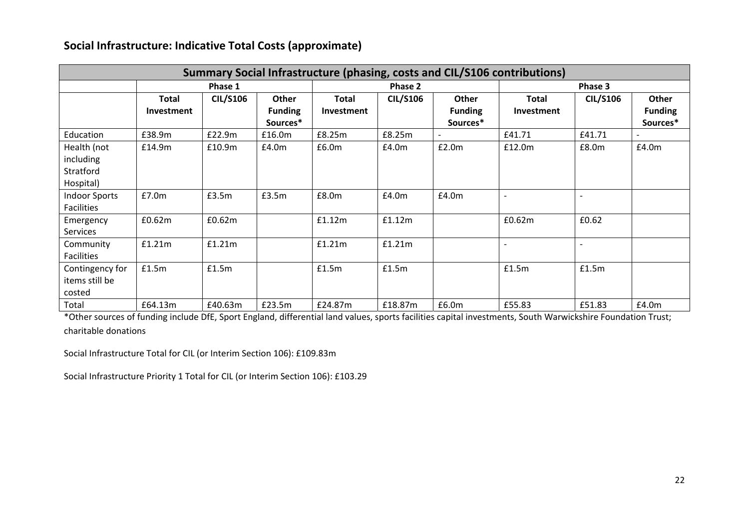| Social Infrastructure: Indicative Total Costs (approximate) |  |
|-------------------------------------------------------------|--|
|                                                             |  |

|                      |                   |                 |                |              |                 |                | <b>Summary Social Infrastructure (phasing, costs and CIL/S106 contributions)</b> |                 |                |
|----------------------|-------------------|-----------------|----------------|--------------|-----------------|----------------|----------------------------------------------------------------------------------|-----------------|----------------|
|                      |                   | Phase 1         |                |              | Phase 2         |                |                                                                                  | Phase 3         |                |
|                      | <b>Total</b>      | <b>CIL/S106</b> | Other          | <b>Total</b> | <b>CIL/S106</b> | <b>Other</b>   | <b>Total</b>                                                                     | <b>CIL/S106</b> | <b>Other</b>   |
|                      | <b>Investment</b> |                 | <b>Funding</b> | Investment   |                 | <b>Funding</b> | <b>Investment</b>                                                                |                 | <b>Funding</b> |
|                      |                   |                 | Sources*       |              |                 | Sources*       |                                                                                  |                 | Sources*       |
| Education            | £38.9m            | £22.9m          | £16.0m         | £8.25m       | £8.25m          |                | £41.71                                                                           | £41.71          |                |
| Health (not          | £14.9m            | £10.9m          | £4.0m          | £6.0m        | £4.0m           | £2.0m          | £12.0m                                                                           | £8.0m           | £4.0m          |
| including            |                   |                 |                |              |                 |                |                                                                                  |                 |                |
| Stratford            |                   |                 |                |              |                 |                |                                                                                  |                 |                |
| Hospital)            |                   |                 |                |              |                 |                |                                                                                  |                 |                |
| <b>Indoor Sports</b> | £7.0m             | £3.5m           | £3.5m          | £8.0m        | £4.0m           | £4.0m          |                                                                                  |                 |                |
| <b>Facilities</b>    |                   |                 |                |              |                 |                |                                                                                  |                 |                |
| Emergency            | £0.62m            | £0.62m          |                | £1.12m       | £1.12m          |                | £0.62m                                                                           | £0.62           |                |
| <b>Services</b>      |                   |                 |                |              |                 |                |                                                                                  |                 |                |
| Community            | £1.21m            | £1.21m          |                | £1.21m       | £1.21m          |                |                                                                                  |                 |                |
| <b>Facilities</b>    |                   |                 |                |              |                 |                |                                                                                  |                 |                |
| Contingency for      | £1.5m             | £1.5m           |                | £1.5m        | £1.5m           |                | £1.5m                                                                            | £1.5m           |                |
| items still be       |                   |                 |                |              |                 |                |                                                                                  |                 |                |
| costed               |                   |                 |                |              |                 |                |                                                                                  |                 |                |
| Total                | £64.13m           | £40.63m         | £23.5m         | £24.87m      | £18.87m         | £6.0m          | £55.83                                                                           | £51.83          | £4.0m          |

\*Other sources of funding include DfE, Sport England, differential land values, sports facilities capital investments, South Warwickshire Foundation Trust; charitable donations

Social Infrastructure Total for CIL (or Interim Section 106): £109.83m

Social Infrastructure Priority 1 Total for CIL (or Interim Section 106): £103.29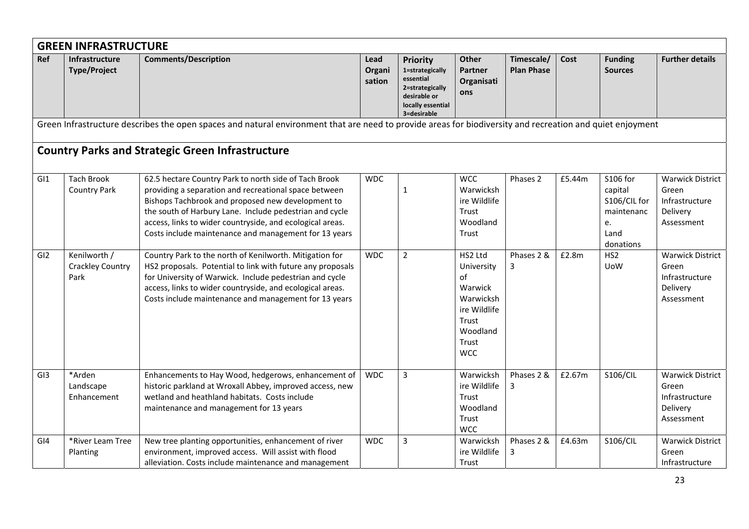|                 | <b>GREEN INFRASTRUCTURE</b>                     |                                                                                                                                                                                                                                                                                                                                                      |                          |                                                                                                                        |                                                                                                                 |                                 |        |                                                                               |                                                                              |
|-----------------|-------------------------------------------------|------------------------------------------------------------------------------------------------------------------------------------------------------------------------------------------------------------------------------------------------------------------------------------------------------------------------------------------------------|--------------------------|------------------------------------------------------------------------------------------------------------------------|-----------------------------------------------------------------------------------------------------------------|---------------------------------|--------|-------------------------------------------------------------------------------|------------------------------------------------------------------------------|
| <b>Ref</b>      | <b>Infrastructure</b><br><b>Type/Project</b>    | <b>Comments/Description</b>                                                                                                                                                                                                                                                                                                                          | Lead<br>Organi<br>sation | <b>Priority</b><br>1=strategically<br>essential<br>2=strategically<br>desirable or<br>locally essential<br>3=desirable | <b>Other</b><br><b>Partner</b><br>Organisati<br>ons                                                             | Timescale/<br><b>Plan Phase</b> | Cost   | <b>Funding</b><br><b>Sources</b>                                              | <b>Further details</b>                                                       |
|                 |                                                 | Green Infrastructure describes the open spaces and natural environment that are need to provide areas for biodiversity and recreation and quiet enjoyment                                                                                                                                                                                            |                          |                                                                                                                        |                                                                                                                 |                                 |        |                                                                               |                                                                              |
|                 |                                                 | <b>Country Parks and Strategic Green Infrastructure</b>                                                                                                                                                                                                                                                                                              |                          |                                                                                                                        |                                                                                                                 |                                 |        |                                                                               |                                                                              |
| GI1             | <b>Tach Brook</b><br><b>Country Park</b>        | 62.5 hectare Country Park to north side of Tach Brook<br>providing a separation and recreational space between<br>Bishops Tachbrook and proposed new development to<br>the south of Harbury Lane. Include pedestrian and cycle<br>access, links to wider countryside, and ecological areas.<br>Costs include maintenance and management for 13 years | <b>WDC</b>               | 1                                                                                                                      | <b>WCC</b><br>Warwicksh<br>ire Wildlife<br>Trust<br>Woodland<br>Trust                                           | Phases 2                        | £5.44m | \$106 for<br>capital<br>S106/CIL for<br>maintenanc<br>e.<br>Land<br>donations | <b>Warwick District</b><br>Green<br>Infrastructure<br>Delivery<br>Assessment |
| GI2             | Kenilworth /<br><b>Crackley Country</b><br>Park | Country Park to the north of Kenilworth. Mitigation for<br>HS2 proposals. Potential to link with future any proposals<br>for University of Warwick. Include pedestrian and cycle<br>access, links to wider countryside, and ecological areas.<br>Costs include maintenance and management for 13 years                                               | <b>WDC</b>               | $\overline{2}$                                                                                                         | HS2 Ltd<br>University<br>of<br>Warwick<br>Warwicksh<br>ire Wildlife<br>Trust<br>Woodland<br>Trust<br><b>WCC</b> | Phases 2 &<br>3                 | £2.8m  | HS <sub>2</sub><br><b>UoW</b>                                                 | <b>Warwick District</b><br>Green<br>Infrastructure<br>Delivery<br>Assessment |
| GI <sub>3</sub> | *Arden<br>Landscape<br>Enhancement              | Enhancements to Hay Wood, hedgerows, enhancement of<br>historic parkland at Wroxall Abbey, improved access, new<br>wetland and heathland habitats. Costs include<br>maintenance and management for 13 years                                                                                                                                          | <b>WDC</b>               | $\overline{3}$                                                                                                         | Warwicksh<br>ire Wildlife<br>Trust<br>Woodland<br>Trust<br><b>WCC</b>                                           | Phases 2 &<br>3                 | £2.67m | S106/CIL                                                                      | <b>Warwick District</b><br>Green<br>Infrastructure<br>Delivery<br>Assessment |
| GI4             | *River Leam Tree<br>Planting                    | New tree planting opportunities, enhancement of river<br>environment, improved access. Will assist with flood<br>alleviation. Costs include maintenance and management                                                                                                                                                                               | <b>WDC</b>               | $\overline{3}$                                                                                                         | Warwicksh<br>ire Wildlife<br>Trust                                                                              | Phases 2 &<br>3                 | £4.63m | S106/CIL                                                                      | <b>Warwick District</b><br>Green<br>Infrastructure                           |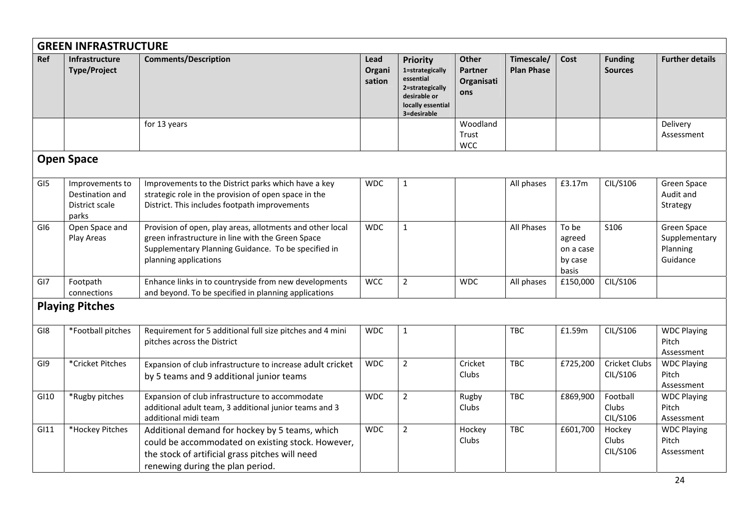|                 | <b>GREEN INFRASTRUCTURE</b>                                   |                                                                                                                                                                                                |                                 |                                                                                                                        |                                       |                                 |                                                  |                                  |                                                      |
|-----------------|---------------------------------------------------------------|------------------------------------------------------------------------------------------------------------------------------------------------------------------------------------------------|---------------------------------|------------------------------------------------------------------------------------------------------------------------|---------------------------------------|---------------------------------|--------------------------------------------------|----------------------------------|------------------------------------------------------|
| <b>Ref</b>      | <b>Infrastructure</b><br><b>Type/Project</b>                  | <b>Comments/Description</b>                                                                                                                                                                    | <b>Lead</b><br>Organi<br>sation | <b>Priority</b><br>1=strategically<br>essential<br>2=strategically<br>desirable or<br>locally essential<br>3=desirable | Other<br>Partner<br>Organisati<br>ons | Timescale/<br><b>Plan Phase</b> | Cost                                             | <b>Funding</b><br><b>Sources</b> | <b>Further details</b>                               |
|                 |                                                               | for 13 years                                                                                                                                                                                   |                                 |                                                                                                                        | Woodland<br>Trust<br><b>WCC</b>       |                                 |                                                  |                                  | Delivery<br>Assessment                               |
|                 | <b>Open Space</b>                                             |                                                                                                                                                                                                |                                 |                                                                                                                        |                                       |                                 |                                                  |                                  |                                                      |
| GI5             | Improvements to<br>Destination and<br>District scale<br>parks | Improvements to the District parks which have a key<br>strategic role in the provision of open space in the<br>District. This includes footpath improvements                                   | <b>WDC</b>                      | $\mathbf 1$                                                                                                            |                                       | All phases                      | £3.17m                                           | CIL/S106                         | Green Space<br>Audit and<br>Strategy                 |
| GI <sub>6</sub> | Open Space and<br>Play Areas                                  | Provision of open, play areas, allotments and other local<br>green infrastructure in line with the Green Space<br>Supplementary Planning Guidance. To be specified in<br>planning applications | <b>WDC</b>                      | $\mathbf{1}$                                                                                                           |                                       | All Phases                      | To be<br>agreed<br>on a case<br>by case<br>basis | S106                             | Green Space<br>Supplementary<br>Planning<br>Guidance |
| GI7             | Footpath<br>connections                                       | Enhance links in to countryside from new developments<br>and beyond. To be specified in planning applications                                                                                  | <b>WCC</b>                      | $\overline{2}$                                                                                                         | <b>WDC</b>                            | All phases                      | £150,000                                         | CIL/S106                         |                                                      |
|                 | <b>Playing Pitches</b>                                        |                                                                                                                                                                                                |                                 |                                                                                                                        |                                       |                                 |                                                  |                                  |                                                      |
| GI8             | *Football pitches                                             | Requirement for 5 additional full size pitches and 4 mini<br>pitches across the District                                                                                                       | <b>WDC</b>                      | $\mathbf{1}$                                                                                                           |                                       | <b>TBC</b>                      | £1.59m                                           | CIL/S106                         | <b>WDC Playing</b><br>Pitch<br>Assessment            |
| GI9             | *Cricket Pitches                                              | Expansion of club infrastructure to increase adult cricket<br>by 5 teams and 9 additional junior teams                                                                                         | <b>WDC</b>                      | $\overline{2}$                                                                                                         | Cricket<br>Clubs                      | <b>TBC</b>                      | £725,200                                         | Cricket Clubs<br>CIL/S106        | <b>WDC Playing</b><br>Pitch<br>Assessment            |
| GI10            | *Rugby pitches                                                | Expansion of club infrastructure to accommodate<br>additional adult team, 3 additional junior teams and 3<br>additional midi team                                                              | <b>WDC</b>                      | $\overline{2}$                                                                                                         | Rugby<br>Clubs                        | TBC                             | £869,900                                         | Football<br>Clubs<br>CIL/S106    | <b>WDC Playing</b><br>Pitch<br>Assessment            |
| GI11            | *Hockey Pitches                                               | Additional demand for hockey by 5 teams, which<br>could be accommodated on existing stock. However,<br>the stock of artificial grass pitches will need<br>renewing during the plan period.     | <b>WDC</b>                      | $\overline{2}$                                                                                                         | Hockey<br>Clubs                       | TBC                             | £601,700                                         | Hockey<br>Clubs<br>CIL/S106      | <b>WDC Playing</b><br>Pitch<br>Assessment            |